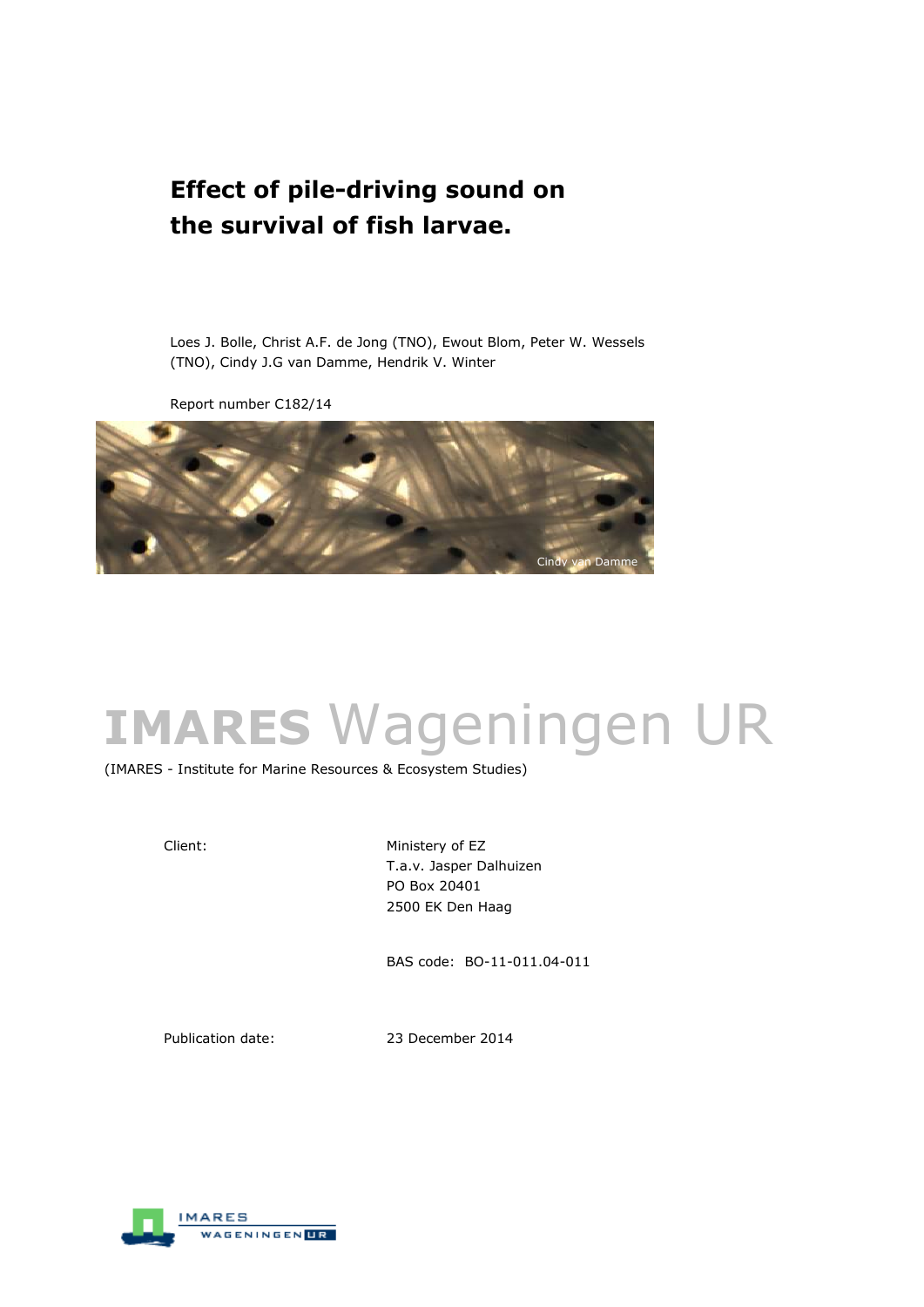## **Effect of pile-driving sound on the survival of fish larvae.**

Loes J. Bolle, Christ A.F. de Jong (TNO), Ewout Blom, Peter W. Wessels (TNO), Cindy J.G van Damme, Hendrik V. Winter

Report number C182/14



# **IMARES** Wageningen UR

(IMARES - Institute for Marine Resources & Ecosystem Studies)

Client: Ministery of EZ T.a.v. Jasper Dalhuizen PO Box 20401 2500 EK Den Haag

BAS code: BO-11-011.04-011

Publication date: 23 December 2014

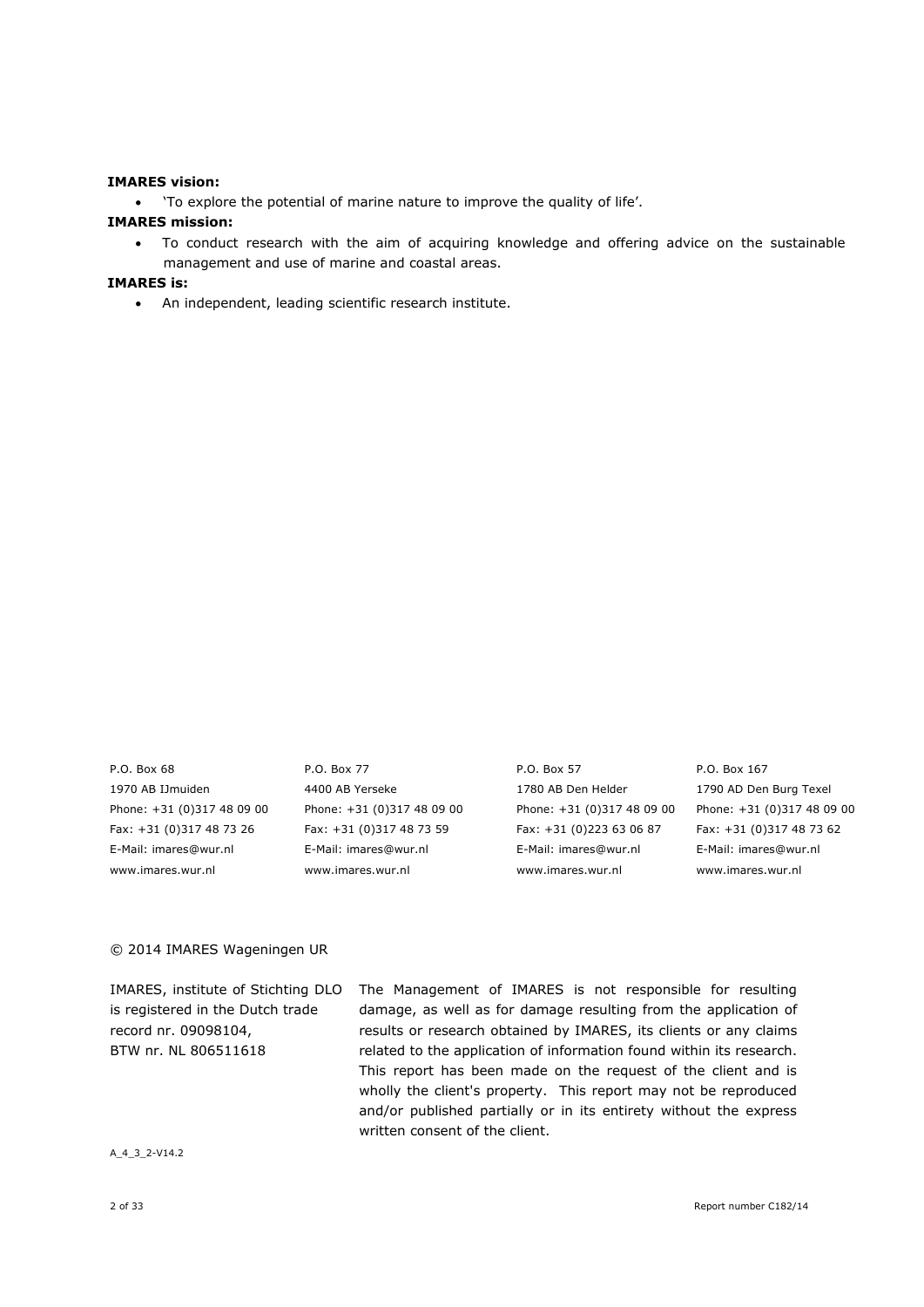#### **IMARES vision:**

'To explore the potential of marine nature to improve the quality of life'.

#### **IMARES mission:**

 To conduct research with the aim of acquiring knowledge and offering advice on the sustainable management and use of marine and coastal areas.

## **IMARES is:**

An independent, leading scientific research institute.

1970 AB IJmuiden 4400 AB Yerseke 1780 AB Den Helder 1790 AD Den Burg Texel Phone: +31 (0)317 48 09 00 Phone: +31 (0)317 48 09 00 Phone: +31 (0)317 48 09 00 Phone: +31 (0)317 48 09 00 Fax: +31 (0)317 48 73 26 Fax: +31 (0)317 48 73 59 Fax: +31 (0)223 63 06 87 Fax: +31 (0)317 48 73 62 E-Mail: imares@wur.nl E-Mail: imares@wur.nl E-Mail: imares@wur.nl E-Mail: imares@wur.nl www.imares.wur.nl www.imares.wur.nl www.imares.wur.nl www.imares.wur.nl

P.O. Box 68 P.O. Box 77 P.O. Box 57 P.O. Box 167

#### © 2014 IMARES Wageningen UR

| IMARES, institute of Stichting DLO | The Management of IMARES is not responsible for resulting            |
|------------------------------------|----------------------------------------------------------------------|
| is registered in the Dutch trade   | damage, as well as for damage resulting from the application of      |
| record nr. 09098104,               | results or research obtained by IMARES, its clients or any claims    |
| BTW nr. NL 806511618               | related to the application of information found within its research. |
|                                    | This report has been made on the request of the client and is        |
|                                    | wholly the client's property. This report may not be reproduced      |
|                                    | and/or published partially or in its entirety without the express    |
|                                    | written consent of the client.                                       |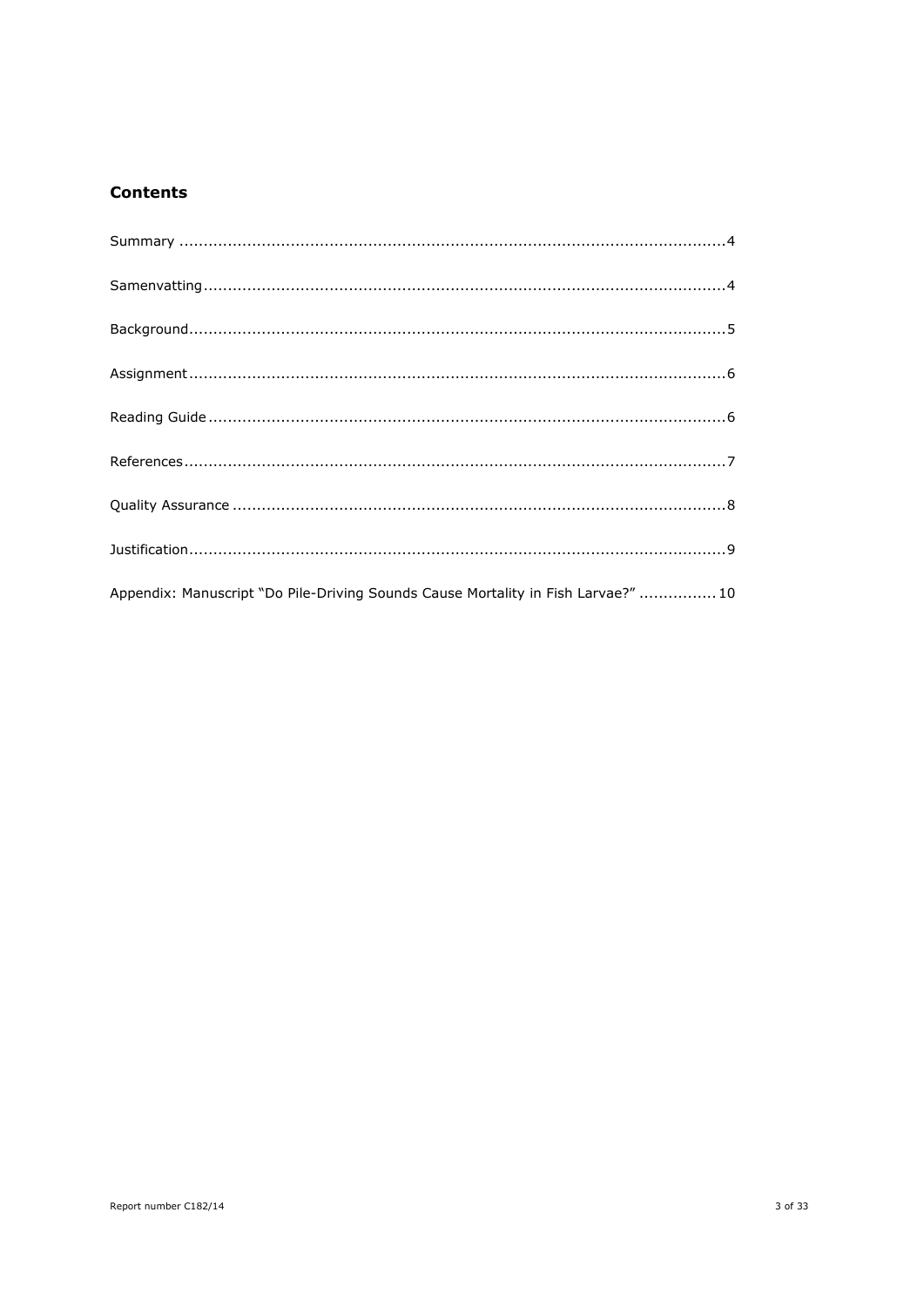## **Contents**

| Appendix: Manuscript "Do Pile-Driving Sounds Cause Mortality in Fish Larvae?"  10 |
|-----------------------------------------------------------------------------------|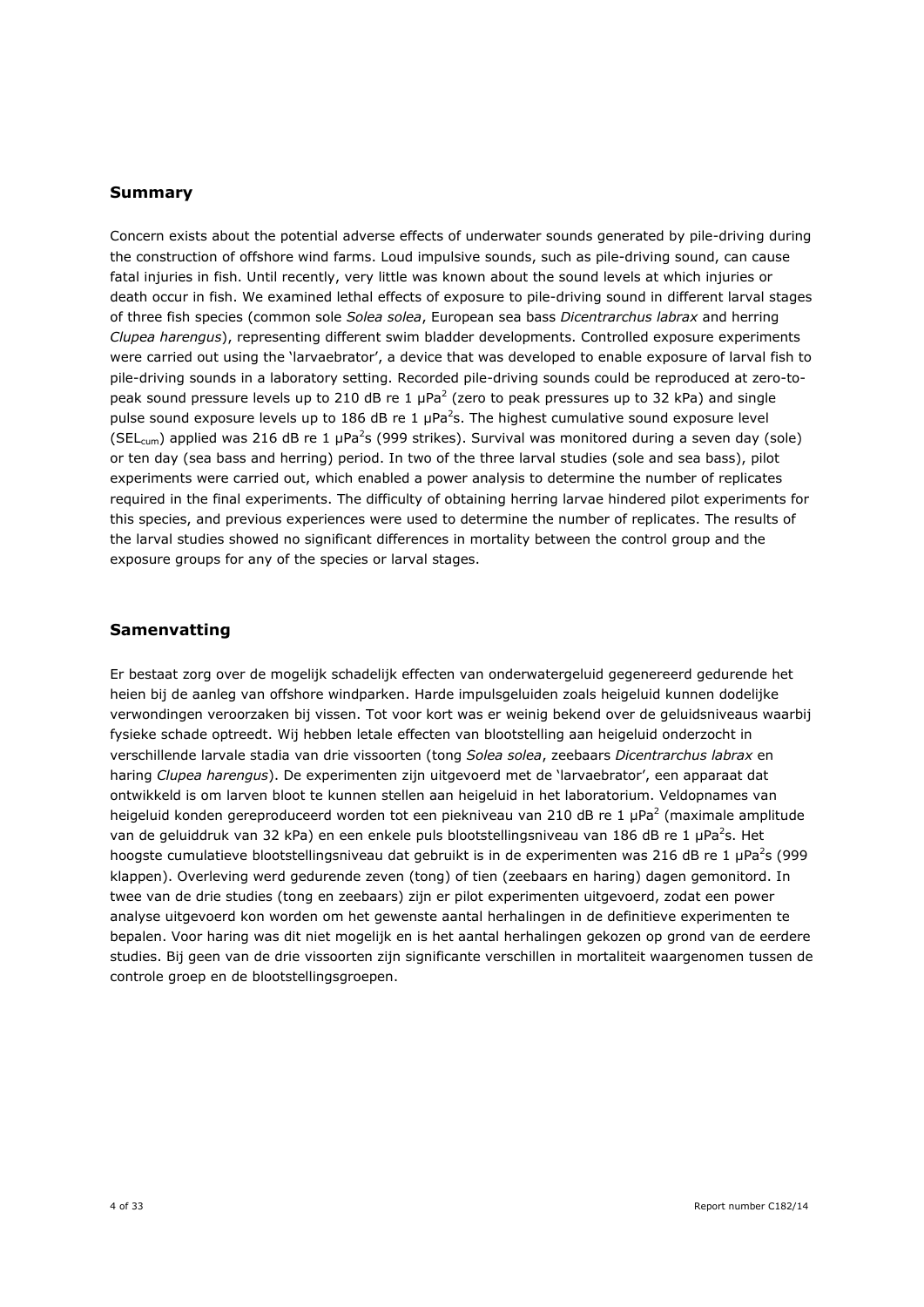## **Summary**

Concern exists about the potential adverse effects of underwater sounds generated by pile-driving during the construction of offshore wind farms. Loud impulsive sounds, such as pile-driving sound, can cause fatal injuries in fish. Until recently, very little was known about the sound levels at which injuries or death occur in fish. We examined lethal effects of exposure to pile-driving sound in different larval stages of three fish species (common sole *Solea solea*, European sea bass *Dicentrarchus labrax* and herring *Clupea harengus*), representing different swim bladder developments. Controlled exposure experiments were carried out using the 'larvaebrator', a device that was developed to enable exposure of larval fish to pile-driving sounds in a laboratory setting. Recorded pile-driving sounds could be reproduced at zero-topeak sound pressure levels up to 210 dB re 1  $\mu$ Pa<sup>2</sup> (zero to peak pressures up to 32 kPa) and single pulse sound exposure levels up to 186 dB re 1  $\mu$ Pa<sup>2</sup>s. The highest cumulative sound exposure level (SEL<sub>cum</sub>) applied was 216 dB re 1 µPa<sup>2</sup>s (999 strikes). Survival was monitored during a seven day (sole) or ten day (sea bass and herring) period. In two of the three larval studies (sole and sea bass), pilot experiments were carried out, which enabled a power analysis to determine the number of replicates required in the final experiments. The difficulty of obtaining herring larvae hindered pilot experiments for this species, and previous experiences were used to determine the number of replicates. The results of the larval studies showed no significant differences in mortality between the control group and the exposure groups for any of the species or larval stages.

## **Samenvatting**

Er bestaat zorg over de mogelijk schadelijk effecten van onderwatergeluid gegenereerd gedurende het heien bij de aanleg van offshore windparken. Harde impulsgeluiden zoals heigeluid kunnen dodelijke verwondingen veroorzaken bij vissen. Tot voor kort was er weinig bekend over de geluidsniveaus waarbij fysieke schade optreedt. Wij hebben letale effecten van blootstelling aan heigeluid onderzocht in verschillende larvale stadia van drie vissoorten (tong *Solea solea*, zeebaars *Dicentrarchus labrax* en haring *Clupea harengus*). De experimenten zijn uitgevoerd met de 'larvaebrator', een apparaat dat ontwikkeld is om larven bloot te kunnen stellen aan heigeluid in het laboratorium. Veldopnames van heigeluid konden gereproduceerd worden tot een piekniveau van 210 dB re 1 µPa<sup>2</sup> (maximale amplitude van de geluiddruk van 32 kPa) en een enkele puls blootstellingsniveau van 186 dB re 1 µPa<sup>2</sup>s. Het hoogste cumulatieve blootstellingsniveau dat gebruikt is in de experimenten was 216 dB re 1  $\mu$ Pa<sup>2</sup>s (999 klappen). Overleving werd gedurende zeven (tong) of tien (zeebaars en haring) dagen gemonitord. In twee van de drie studies (tong en zeebaars) zijn er pilot experimenten uitgevoerd, zodat een power analyse uitgevoerd kon worden om het gewenste aantal herhalingen in de definitieve experimenten te bepalen. Voor haring was dit niet mogelijk en is het aantal herhalingen gekozen op grond van de eerdere studies. Bij geen van de drie vissoorten zijn significante verschillen in mortaliteit waargenomen tussen de controle groep en de blootstellingsgroepen.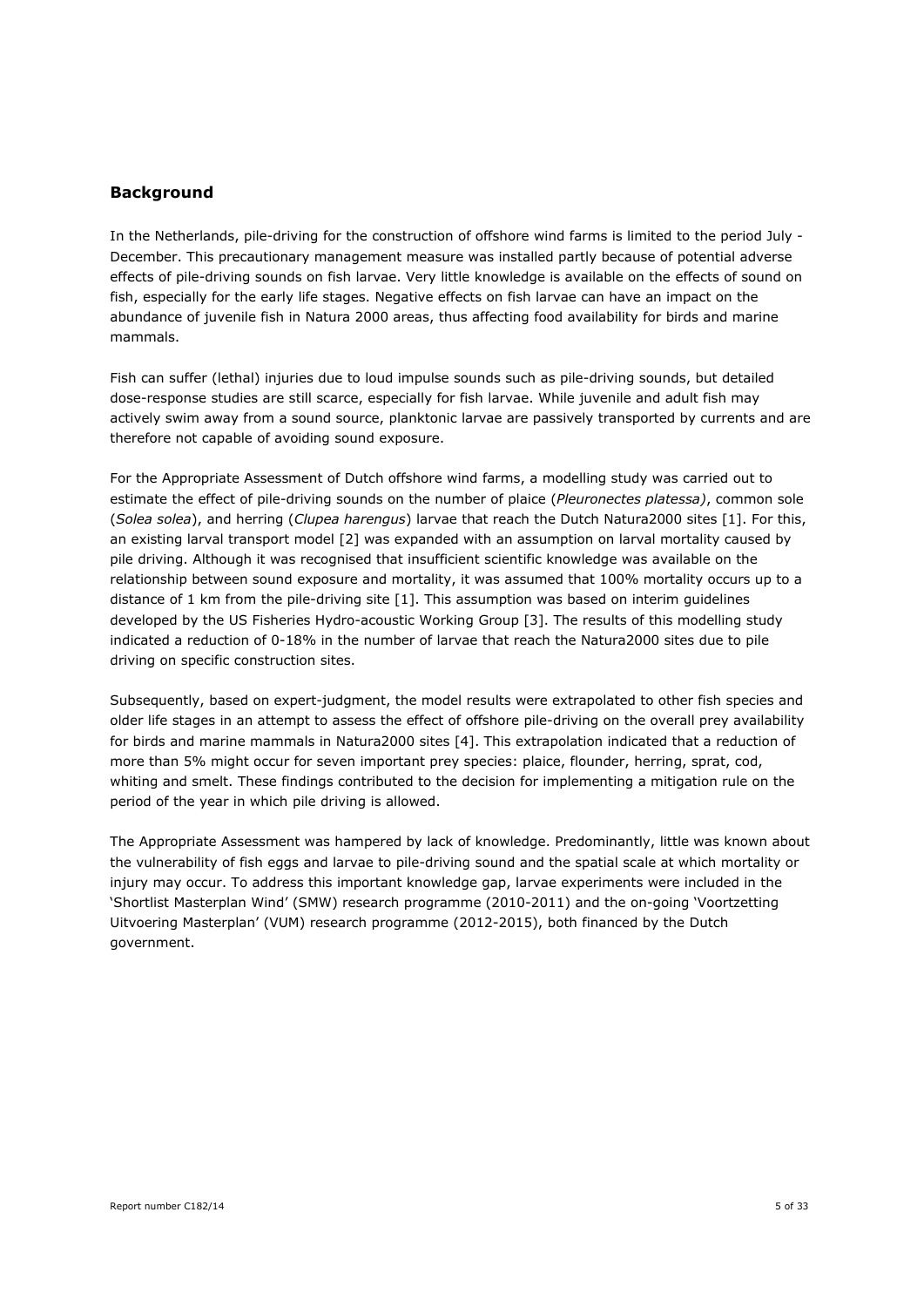## **Background**

In the Netherlands, pile-driving for the construction of offshore wind farms is limited to the period July - December. This precautionary management measure was installed partly because of potential adverse effects of pile-driving sounds on fish larvae. Very little knowledge is available on the effects of sound on fish, especially for the early life stages. Negative effects on fish larvae can have an impact on the abundance of juvenile fish in Natura 2000 areas, thus affecting food availability for birds and marine mammals.

Fish can suffer (lethal) injuries due to loud impulse sounds such as pile-driving sounds, but detailed dose-response studies are still scarce, especially for fish larvae. While juvenile and adult fish may actively swim away from a sound source, planktonic larvae are passively transported by currents and are therefore not capable of avoiding sound exposure.

For the Appropriate Assessment of Dutch offshore wind farms, a modelling study was carried out to estimate the effect of pile-driving sounds on the number of plaice (*Pleuronectes platessa)*, common sole (*Solea solea*), and herring (*Clupea harengus*) larvae that reach the Dutch Natura2000 sites [1]. For this, an existing larval transport model [2] was expanded with an assumption on larval mortality caused by pile driving. Although it was recognised that insufficient scientific knowledge was available on the relationship between sound exposure and mortality, it was assumed that 100% mortality occurs up to a distance of 1 km from the pile-driving site [1]. This assumption was based on interim guidelines developed by the US Fisheries Hydro-acoustic Working Group [3]. The results of this modelling study indicated a reduction of 0-18% in the number of larvae that reach the Natura2000 sites due to pile driving on specific construction sites.

Subsequently, based on expert-judgment, the model results were extrapolated to other fish species and older life stages in an attempt to assess the effect of offshore pile-driving on the overall prey availability for birds and marine mammals in Natura2000 sites [4]. This extrapolation indicated that a reduction of more than 5% might occur for seven important prey species: plaice, flounder, herring, sprat, cod, whiting and smelt. These findings contributed to the decision for implementing a mitigation rule on the period of the year in which pile driving is allowed.

The Appropriate Assessment was hampered by lack of knowledge. Predominantly, little was known about the vulnerability of fish eggs and larvae to pile-driving sound and the spatial scale at which mortality or injury may occur. To address this important knowledge gap, larvae experiments were included in the 'Shortlist Masterplan Wind' (SMW) research programme (2010-2011) and the on-going 'Voortzetting Uitvoering Masterplan' (VUM) research programme (2012-2015), both financed by the Dutch government.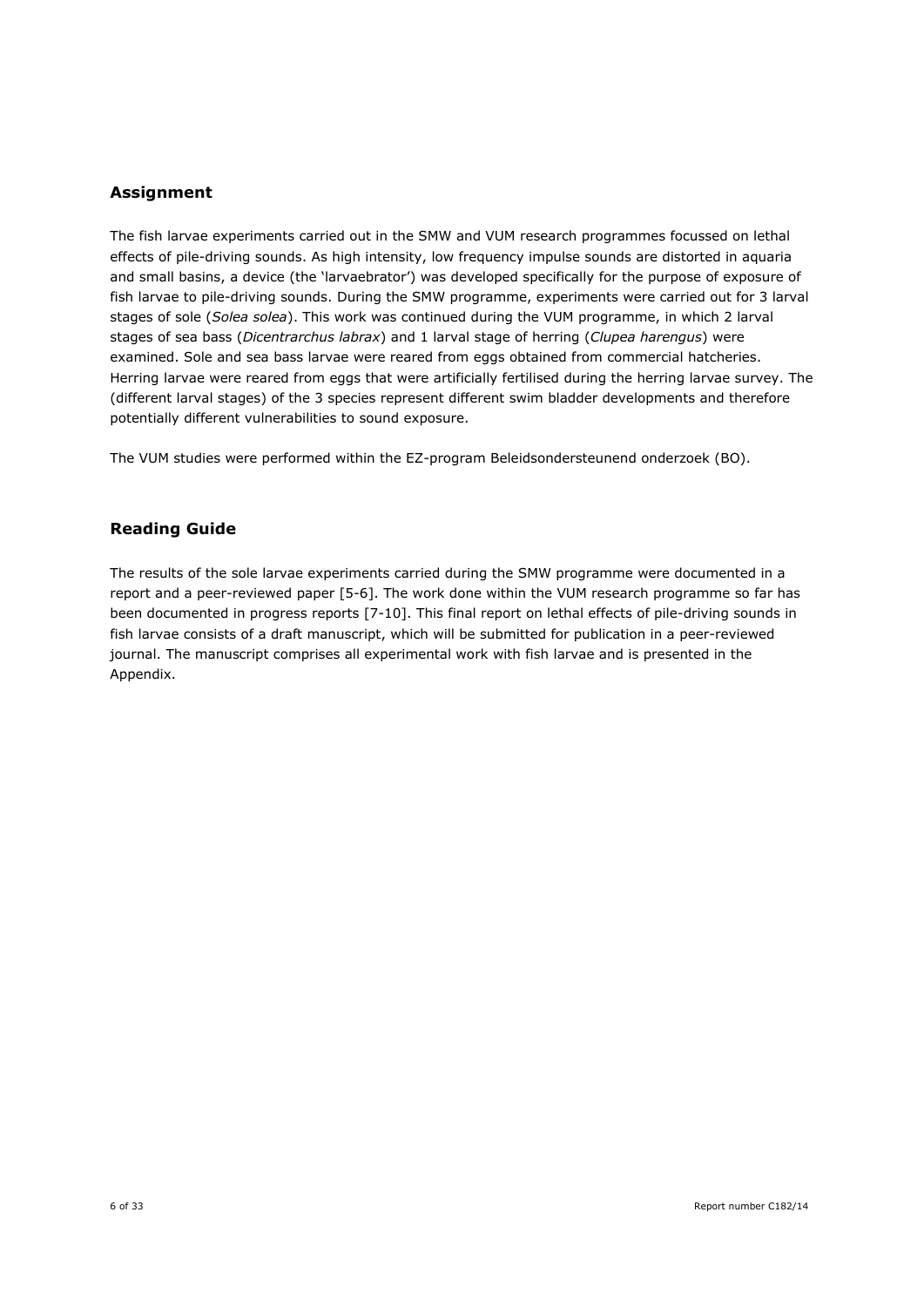## **Assignment**

The fish larvae experiments carried out in the SMW and VUM research programmes focussed on lethal effects of pile-driving sounds. As high intensity, low frequency impulse sounds are distorted in aquaria and small basins, a device (the 'larvaebrator') was developed specifically for the purpose of exposure of fish larvae to pile-driving sounds. During the SMW programme, experiments were carried out for 3 larval stages of sole (*Solea solea*). This work was continued during the VUM programme, in which 2 larval stages of sea bass (*Dicentrarchus labrax*) and 1 larval stage of herring (*Clupea harengus*) were examined. Sole and sea bass larvae were reared from eggs obtained from commercial hatcheries. Herring larvae were reared from eggs that were artificially fertilised during the herring larvae survey. The (different larval stages) of the 3 species represent different swim bladder developments and therefore potentially different vulnerabilities to sound exposure.

The VUM studies were performed within the EZ-program Beleidsondersteunend onderzoek (BO).

## **Reading Guide**

The results of the sole larvae experiments carried during the SMW programme were documented in a report and a peer-reviewed paper [5-6]. The work done within the VUM research programme so far has been documented in progress reports [7-10]. This final report on lethal effects of pile-driving sounds in fish larvae consists of a draft manuscript, which will be submitted for publication in a peer-reviewed journal. The manuscript comprises all experimental work with fish larvae and is presented in the Appendix.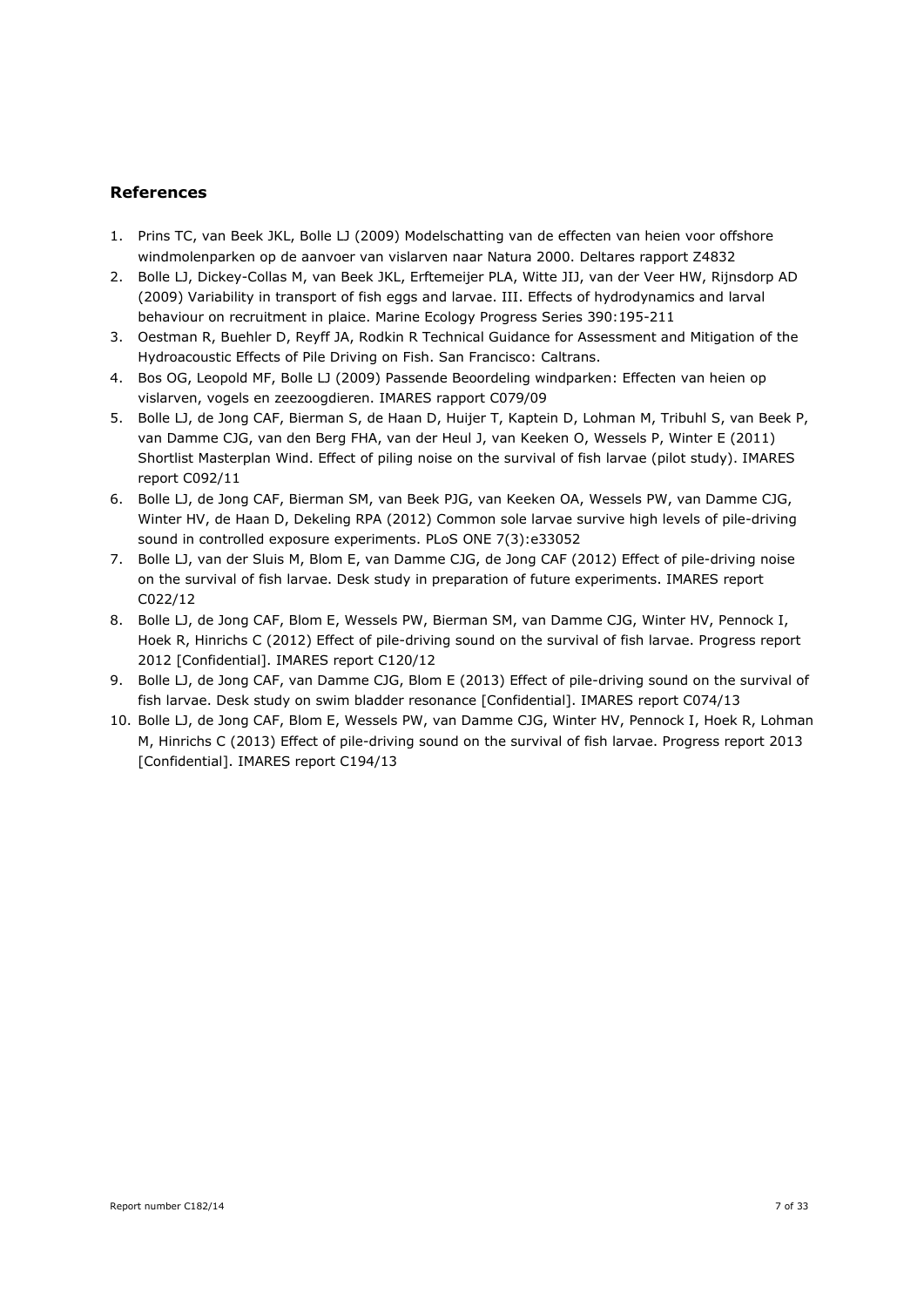## **References**

- 1. Prins TC, van Beek JKL, Bolle LJ (2009) Modelschatting van de effecten van heien voor offshore windmolenparken op de aanvoer van vislarven naar Natura 2000. Deltares rapport Z4832
- 2. Bolle LJ, Dickey-Collas M, van Beek JKL, Erftemeijer PLA, Witte JIJ, van der Veer HW, Rijnsdorp AD (2009) Variability in transport of fish eggs and larvae. III. Effects of hydrodynamics and larval behaviour on recruitment in plaice. Marine Ecology Progress Series 390:195-211
- 3. Oestman R, Buehler D, Reyff JA, Rodkin R Technical Guidance for Assessment and Mitigation of the Hydroacoustic Effects of Pile Driving on Fish. San Francisco: Caltrans.
- 4. Bos OG, Leopold MF, Bolle LJ (2009) Passende Beoordeling windparken: Effecten van heien op vislarven, vogels en zeezoogdieren. IMARES rapport C079/09
- 5. Bolle LJ, de Jong CAF, Bierman S, de Haan D, Huijer T, Kaptein D, Lohman M, Tribuhl S, van Beek P, van Damme CJG, van den Berg FHA, van der Heul J, van Keeken O, Wessels P, Winter E (2011) Shortlist Masterplan Wind. Effect of piling noise on the survival of fish larvae (pilot study). IMARES report C092/11
- 6. Bolle LJ, de Jong CAF, Bierman SM, van Beek PJG, van Keeken OA, Wessels PW, van Damme CJG, Winter HV, de Haan D, Dekeling RPA (2012) Common sole larvae survive high levels of pile-driving sound in controlled exposure experiments. PLoS ONE 7(3):e33052
- 7. Bolle LJ, van der Sluis M, Blom E, van Damme CJG, de Jong CAF (2012) Effect of pile-driving noise on the survival of fish larvae. Desk study in preparation of future experiments. IMARES report C022/12
- 8. Bolle LJ, de Jong CAF, Blom E, Wessels PW, Bierman SM, van Damme CJG, Winter HV, Pennock I, Hoek R, Hinrichs C (2012) Effect of pile-driving sound on the survival of fish larvae. Progress report 2012 [Confidential]. IMARES report C120/12
- 9. Bolle LJ, de Jong CAF, van Damme CJG, Blom E (2013) Effect of pile-driving sound on the survival of fish larvae. Desk study on swim bladder resonance [Confidential]. IMARES report C074/13
- 10. Bolle LJ, de Jong CAF, Blom E, Wessels PW, van Damme CJG, Winter HV, Pennock I, Hoek R, Lohman M, Hinrichs C (2013) Effect of pile-driving sound on the survival of fish larvae. Progress report 2013 [Confidential]. IMARES report C194/13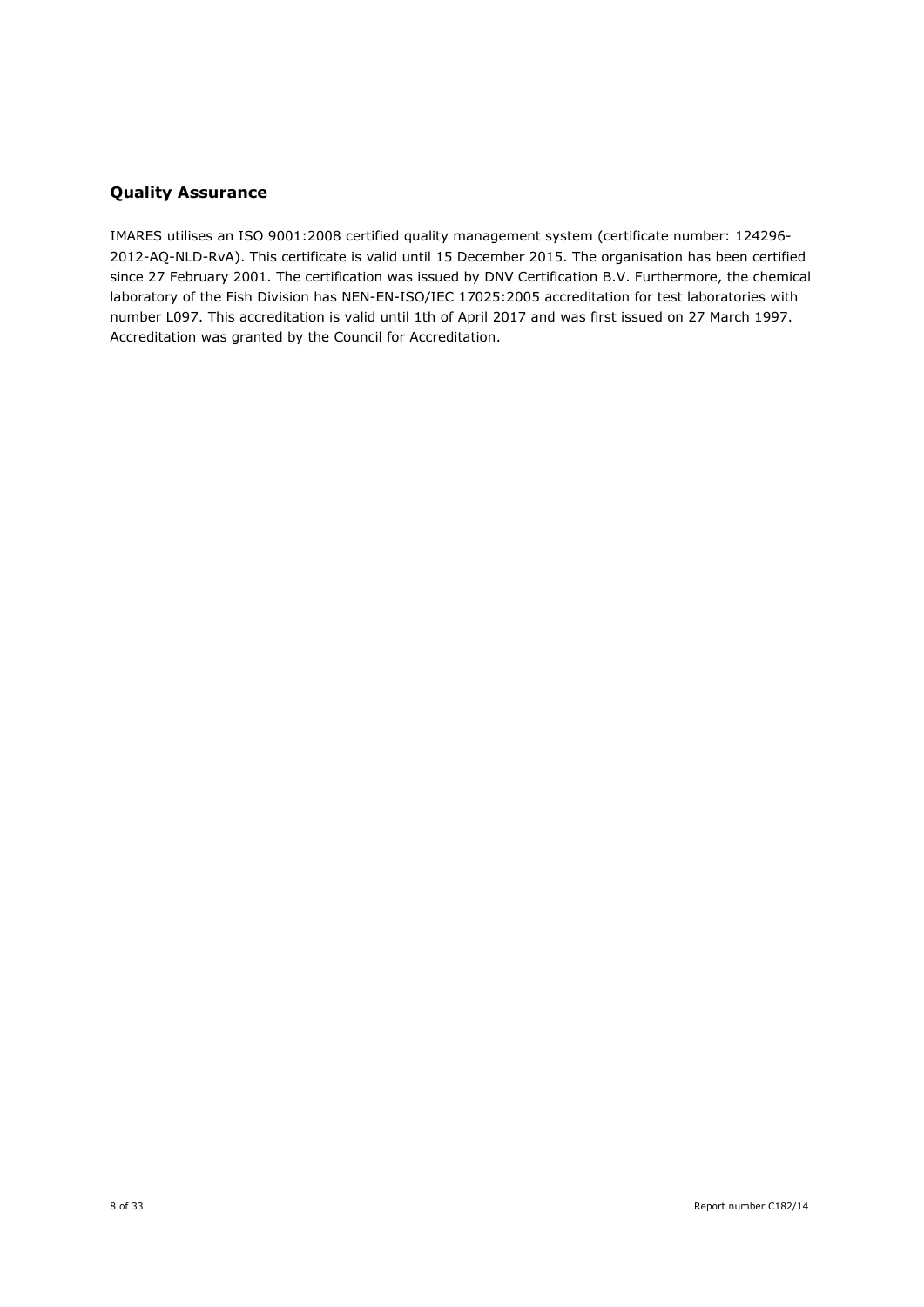## **Quality Assurance**

IMARES utilises an ISO 9001:2008 certified quality management system (certificate number: 124296- 2012-AQ-NLD-RvA). This certificate is valid until 15 December 2015. The organisation has been certified since 27 February 2001. The certification was issued by DNV Certification B.V. Furthermore, the chemical laboratory of the Fish Division has NEN-EN-ISO/IEC 17025:2005 accreditation for test laboratories with number L097. This accreditation is valid until 1th of April 2017 and was first issued on 27 March 1997. Accreditation was granted by the Council for Accreditation.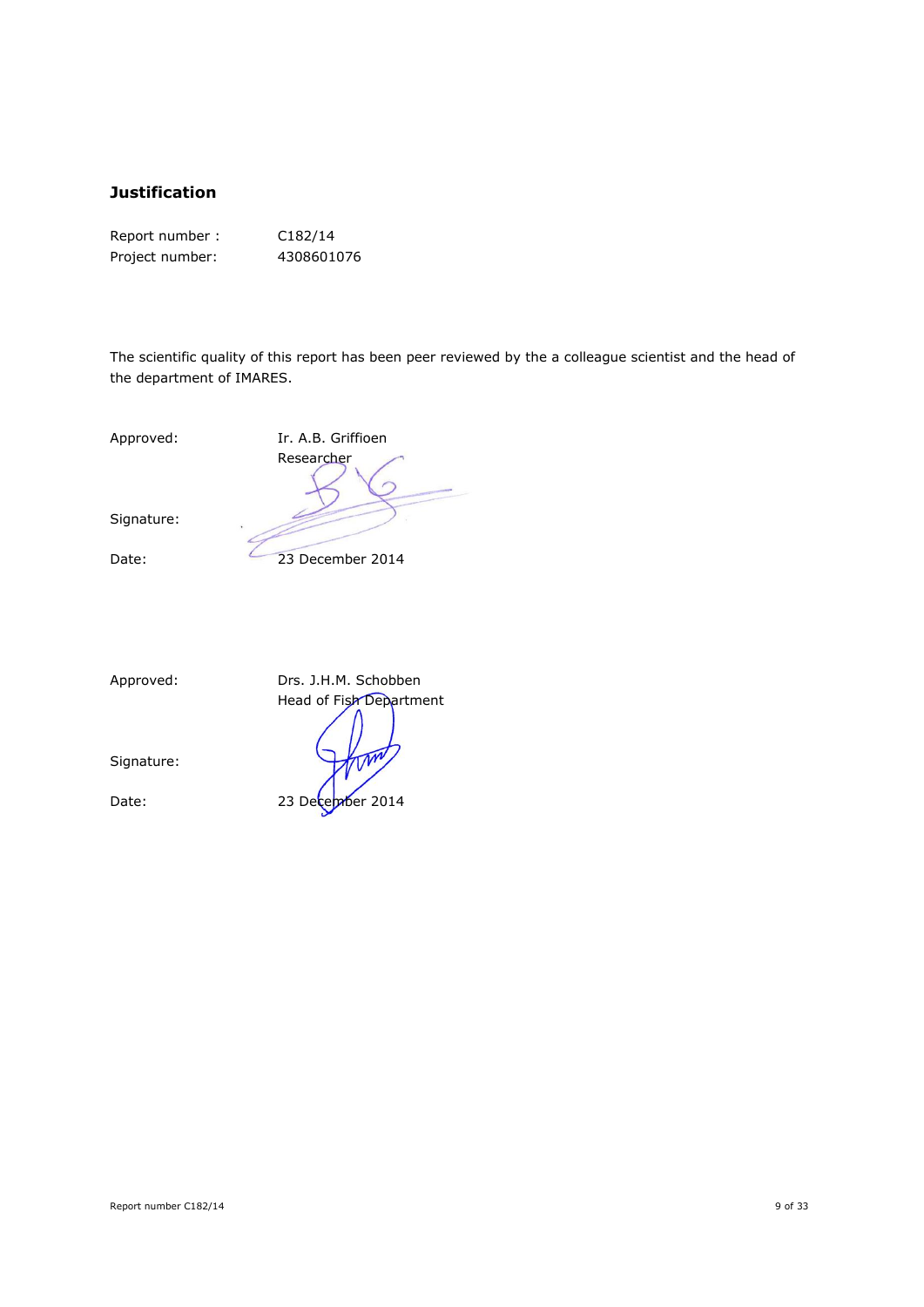## **Justification**

| Report number:  | C182/14    |
|-----------------|------------|
| Project number: | 4308601076 |

The scientific quality of this report has been peer reviewed by the a colleague scientist and the head of the department of IMARES.

Signature:

Approved: Ir. A.B. Griffioen Researcher

Date: 23 December 2014

Signature:

Approved: Drs. J.H.M. Schobben Head of Fish Department Date: 23 December 2014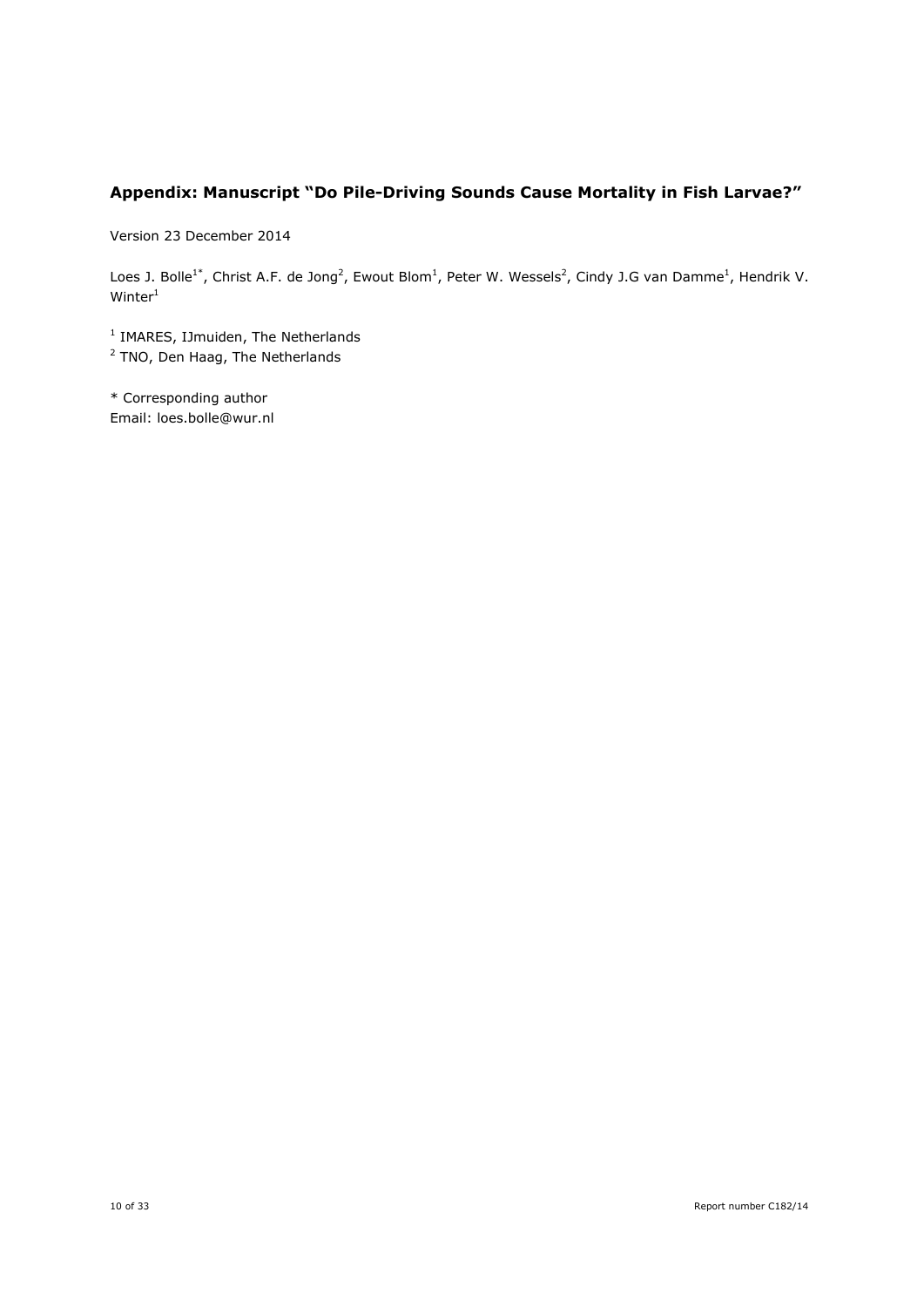## **Appendix: Manuscript "Do Pile-Driving Sounds Cause Mortality in Fish Larvae?"**

Version 23 December 2014

Loes J. Bolle<sup>1\*</sup>, Christ A.F. de Jong<sup>2</sup>, Ewout Blom<sup>1</sup>, Peter W. Wessels<sup>2</sup>, Cindy J.G van Damme<sup>1</sup>, Hendrik V.  $W$ inter $1$ 

<sup>1</sup> IMARES, IJmuiden, The Netherlands

<sup>2</sup> TNO, Den Haag, The Netherlands

\* Corresponding author Email: loes.bolle@wur.nl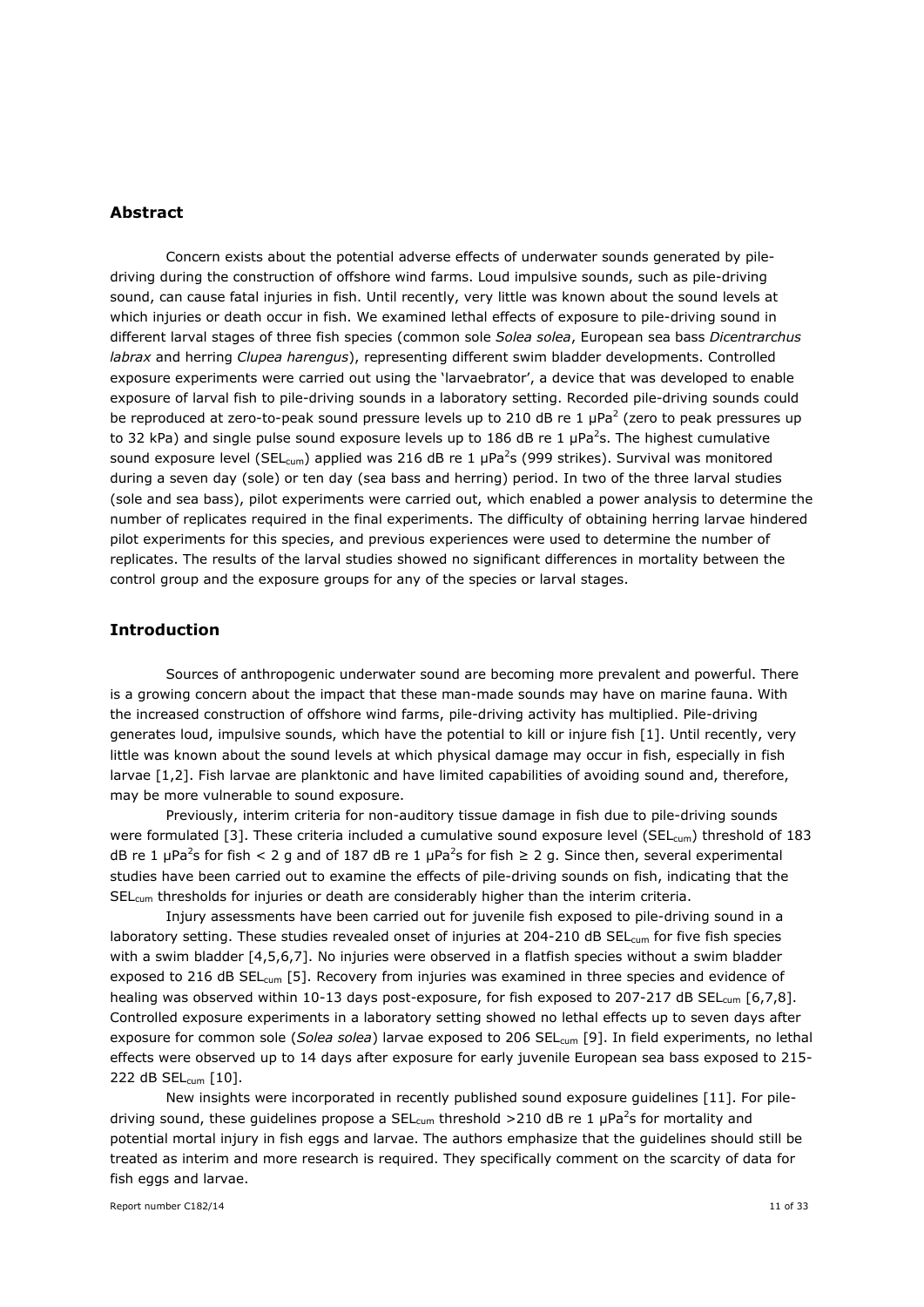## **Abstract**

Concern exists about the potential adverse effects of underwater sounds generated by piledriving during the construction of offshore wind farms. Loud impulsive sounds, such as pile-driving sound, can cause fatal injuries in fish. Until recently, very little was known about the sound levels at which injuries or death occur in fish. We examined lethal effects of exposure to pile-driving sound in different larval stages of three fish species (common sole *Solea solea*, European sea bass *Dicentrarchus labrax* and herring *Clupea harengus*), representing different swim bladder developments. Controlled exposure experiments were carried out using the 'larvaebrator', a device that was developed to enable exposure of larval fish to pile-driving sounds in a laboratory setting. Recorded pile-driving sounds could be reproduced at zero-to-peak sound pressure levels up to 210 dB re 1  $\mu$ Pa<sup>2</sup> (zero to peak pressures up to 32 kPa) and single pulse sound exposure levels up to 186 dB re 1  $\mu$ Pa<sup>2</sup>s. The highest cumulative sound exposure level (SEL<sub>cum</sub>) applied was 216 dB re 1  $\mu$ Pa<sup>2</sup>s (999 strikes). Survival was monitored during a seven day (sole) or ten day (sea bass and herring) period. In two of the three larval studies (sole and sea bass), pilot experiments were carried out, which enabled a power analysis to determine the number of replicates required in the final experiments. The difficulty of obtaining herring larvae hindered pilot experiments for this species, and previous experiences were used to determine the number of replicates. The results of the larval studies showed no significant differences in mortality between the control group and the exposure groups for any of the species or larval stages.

## **Introduction**

Sources of anthropogenic underwater sound are becoming more prevalent and powerful. There is a growing concern about the impact that these man-made sounds may have on marine fauna. With the increased construction of offshore wind farms, pile-driving activity has multiplied. Pile-driving generates loud, impulsive sounds, which have the potential to kill or injure fish [1]. Until recently, very little was known about the sound levels at which physical damage may occur in fish, especially in fish larvae [1,2]. Fish larvae are planktonic and have limited capabilities of avoiding sound and, therefore, may be more vulnerable to sound exposure.

Previously, interim criteria for non-auditory tissue damage in fish due to pile-driving sounds were formulated [3]. These criteria included a cumulative sound exposure level (SEL<sub>cum</sub>) threshold of 183 dB re 1  $\mu$ Pa<sup>2</sup>s for fish < 2 g and of 187 dB re 1  $\mu$ Pa<sup>2</sup>s for fish ≥ 2 g. Since then, several experimental studies have been carried out to examine the effects of pile-driving sounds on fish, indicating that the SELcum thresholds for injuries or death are considerably higher than the interim criteria.

Injury assessments have been carried out for juvenile fish exposed to pile-driving sound in a laboratory setting. These studies revealed onset of injuries at 204-210 dB SEL<sub>cum</sub> for five fish species with a swim bladder [4,5,6,7]. No injuries were observed in a flatfish species without a swim bladder exposed to 216 dB SEL<sub>cum</sub> [5]. Recovery from injuries was examined in three species and evidence of healing was observed within 10-13 days post-exposure, for fish exposed to 207-217 dB SEL<sub>cum</sub> [6,7,8]. Controlled exposure experiments in a laboratory setting showed no lethal effects up to seven days after exposure for common sole (*Solea solea*) larvae exposed to 206 SEL<sub>cum</sub> [9]. In field experiments, no lethal effects were observed up to 14 days after exposure for early juvenile European sea bass exposed to 215- 222 dB SEL<sub>cum</sub> [10].

New insights were incorporated in recently published sound exposure guidelines [11]. For piledriving sound, these guidelines propose a SEL<sub>cum</sub> threshold >210 dB re 1  $\mu$ Pa<sup>2</sup>s for mortality and potential mortal injury in fish eggs and larvae. The authors emphasize that the guidelines should still be treated as interim and more research is required. They specifically comment on the scarcity of data for fish eggs and larvae.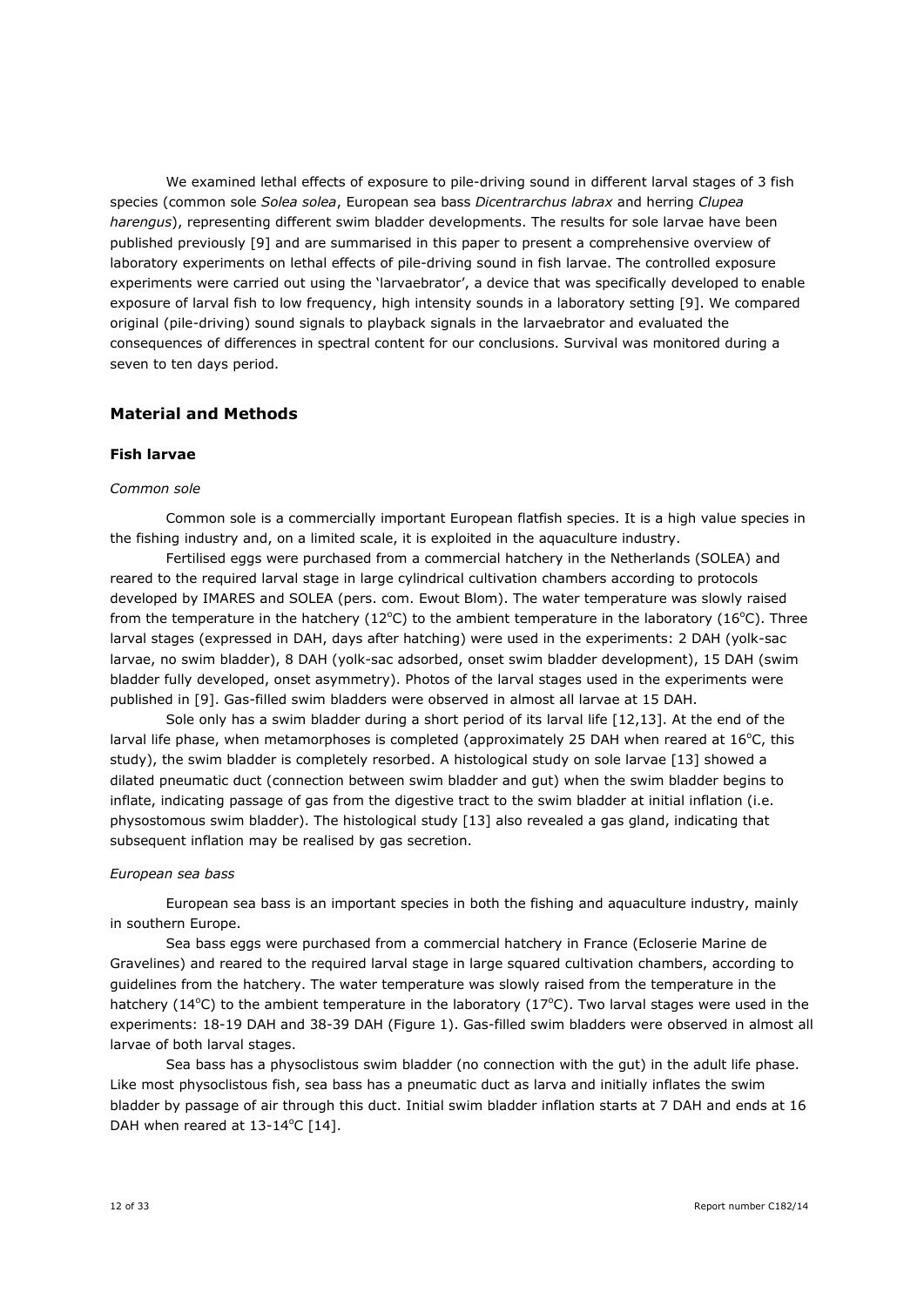We examined lethal effects of exposure to pile-driving sound in different larval stages of 3 fish species (common sole *Solea solea*, European sea bass *Dicentrarchus labrax* and herring *Clupea harengus*), representing different swim bladder developments. The results for sole larvae have been published previously [9] and are summarised in this paper to present a comprehensive overview of laboratory experiments on lethal effects of pile-driving sound in fish larvae. The controlled exposure experiments were carried out using the 'larvaebrator', a device that was specifically developed to enable exposure of larval fish to low frequency, high intensity sounds in a laboratory setting [9]. We compared original (pile-driving) sound signals to playback signals in the larvaebrator and evaluated the consequences of differences in spectral content for our conclusions. Survival was monitored during a seven to ten days period.

## **Material and Methods**

#### **Fish larvae**

#### *Common sole*

Common sole is a commercially important European flatfish species. It is a high value species in the fishing industry and, on a limited scale, it is exploited in the aquaculture industry.

Fertilised eggs were purchased from a commercial hatchery in the Netherlands (SOLEA) and reared to the required larval stage in large cylindrical cultivation chambers according to protocols developed by IMARES and SOLEA (pers. com. Ewout Blom). The water temperature was slowly raised from the temperature in the hatchery ( $12^{\circ}$ C) to the ambient temperature in the laboratory ( $16^{\circ}$ C). Three larval stages (expressed in DAH, days after hatching) were used in the experiments: 2 DAH (yolk-sac larvae, no swim bladder), 8 DAH (yolk-sac adsorbed, onset swim bladder development), 15 DAH (swim bladder fully developed, onset asymmetry). Photos of the larval stages used in the experiments were published in [9]. Gas-filled swim bladders were observed in almost all larvae at 15 DAH.

Sole only has a swim bladder during a short period of its larval life [12,13]. At the end of the larval life phase, when metamorphoses is completed (approximately 25 DAH when reared at  $16^{\circ}$ C, this study), the swim bladder is completely resorbed. A histological study on sole larvae [13] showed a dilated pneumatic duct (connection between swim bladder and gut) when the swim bladder begins to inflate, indicating passage of gas from the digestive tract to the swim bladder at initial inflation (i.e. physostomous swim bladder). The histological study [13] also revealed a gas gland, indicating that subsequent inflation may be realised by gas secretion.

#### *European sea bass*

European sea bass is an important species in both the fishing and aquaculture industry, mainly in southern Europe.

Sea bass eggs were purchased from a commercial hatchery in France (Ecloserie Marine de Gravelines) and reared to the required larval stage in large squared cultivation chambers, according to guidelines from the hatchery. The water temperature was slowly raised from the temperature in the hatchery (14 $\degree$ C) to the ambient temperature in the laboratory (17 $\degree$ C). Two larval stages were used in the experiments: 18-19 DAH and 38-39 DAH (Figure 1). Gas-filled swim bladders were observed in almost all larvae of both larval stages.

Sea bass has a physoclistous swim bladder (no connection with the gut) in the adult life phase. Like most physoclistous fish, sea bass has a pneumatic duct as larva and initially inflates the swim bladder by passage of air through this duct. Initial swim bladder inflation starts at 7 DAH and ends at 16 DAH when reared at  $13-14^{\circ}$ C [14].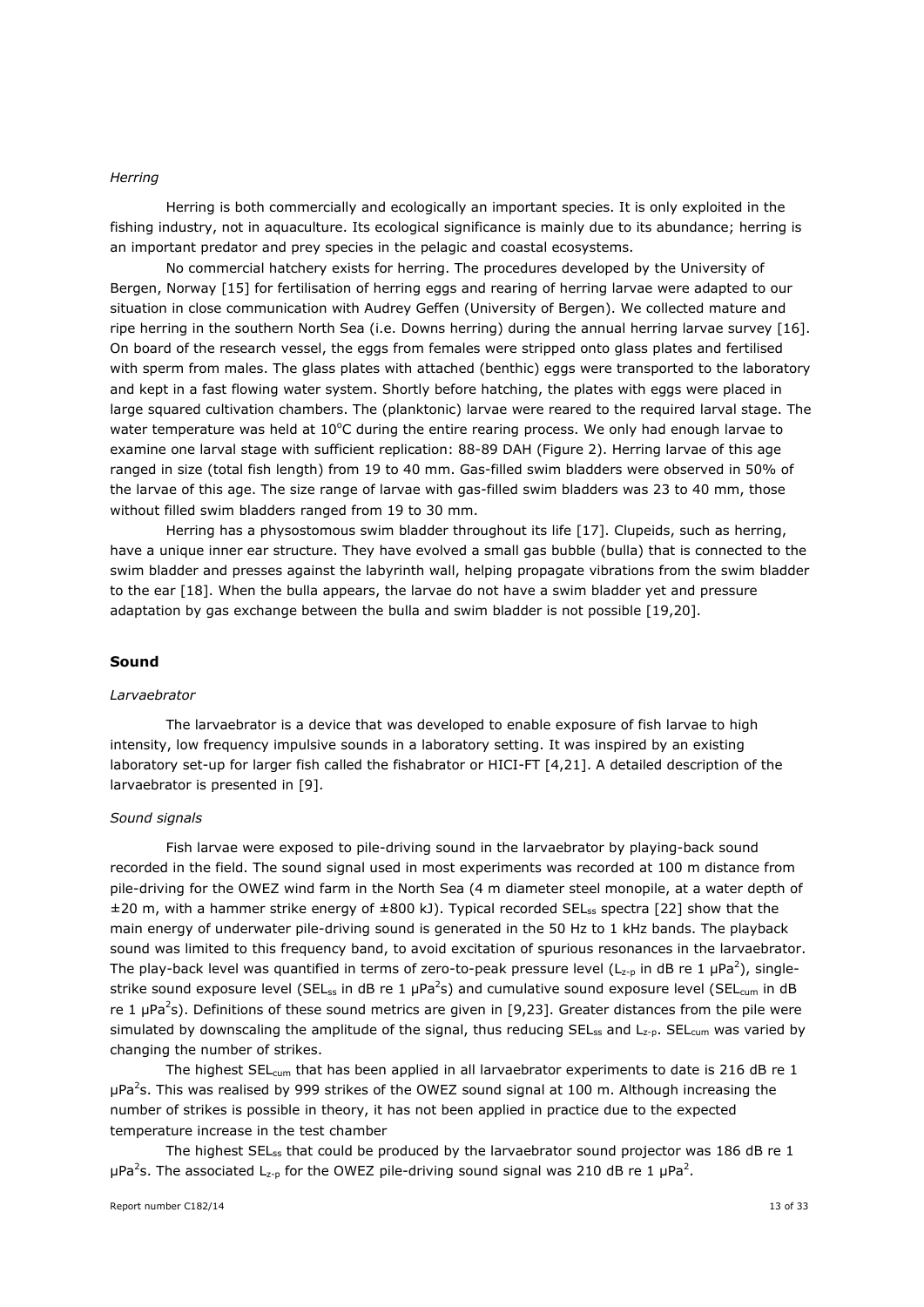#### *Herring*

Herring is both commercially and ecologically an important species. It is only exploited in the fishing industry, not in aquaculture. Its ecological significance is mainly due to its abundance; herring is an important predator and prey species in the pelagic and coastal ecosystems.

No commercial hatchery exists for herring. The procedures developed by the University of Bergen, Norway [15] for fertilisation of herring eggs and rearing of herring larvae were adapted to our situation in close communication with Audrey Geffen (University of Bergen). We collected mature and ripe herring in the southern North Sea (i.e. Downs herring) during the annual herring larvae survey [16]. On board of the research vessel, the eggs from females were stripped onto glass plates and fertilised with sperm from males. The glass plates with attached (benthic) eggs were transported to the laboratory and kept in a fast flowing water system. Shortly before hatching, the plates with eggs were placed in large squared cultivation chambers. The (planktonic) larvae were reared to the required larval stage. The water temperature was held at  $10^{\circ}$ C during the entire rearing process. We only had enough larvae to examine one larval stage with sufficient replication: 88-89 DAH (Figure 2). Herring larvae of this age ranged in size (total fish length) from 19 to 40 mm. Gas-filled swim bladders were observed in 50% of the larvae of this age. The size range of larvae with gas-filled swim bladders was 23 to 40 mm, those without filled swim bladders ranged from 19 to 30 mm.

Herring has a physostomous swim bladder throughout its life [17]. Clupeids, such as herring, have a unique inner ear structure. They have evolved a small gas bubble (bulla) that is connected to the swim bladder and presses against the labyrinth wall, helping propagate vibrations from the swim bladder to the ear [18]. When the bulla appears, the larvae do not have a swim bladder yet and pressure adaptation by gas exchange between the bulla and swim bladder is not possible [19,20].

#### **Sound**

#### *Larvaebrator*

The larvaebrator is a device that was developed to enable exposure of fish larvae to high intensity, low frequency impulsive sounds in a laboratory setting. It was inspired by an existing laboratory set-up for larger fish called the fishabrator or HICI-FT [4,21]. A detailed description of the larvaebrator is presented in [9].

#### *Sound signals*

Fish larvae were exposed to pile-driving sound in the larvaebrator by playing-back sound recorded in the field. The sound signal used in most experiments was recorded at 100 m distance from pile-driving for the OWEZ wind farm in the North Sea (4 m diameter steel monopile, at a water depth of ±20 m, with a hammer strike energy of ±800 kJ). Typical recorded SELss spectra [22] show that the main energy of underwater pile-driving sound is generated in the 50 Hz to 1 kHz bands. The playback sound was limited to this frequency band, to avoid excitation of spurious resonances in the larvaebrator. The play-back level was quantified in terms of zero-to-peak pressure level (L<sub>z-p</sub> in dB re 1 µPa<sup>2</sup>), singlestrike sound exposure level (SEL<sub>ss</sub> in dB re 1 µPa<sup>2</sup>s) and cumulative sound exposure level (SEL<sub>cum</sub> in dB re 1  $\mu$ Pa<sup>2</sup>s). Definitions of these sound metrics are given in [9,23]. Greater distances from the pile were simulated by downscaling the amplitude of the signal, thus reducing  $SEL_{ss}$  and  $L_{z-p}$ .  $SEL_{cum}$  was varied by changing the number of strikes.

The highest SEL<sub>cum</sub> that has been applied in all larvaebrator experiments to date is 216 dB re 1 μPa<sup>2</sup>s. This was realised by 999 strikes of the OWEZ sound signal at 100 m. Although increasing the number of strikes is possible in theory, it has not been applied in practice due to the expected temperature increase in the test chamber

The highest SEL<sub>ss</sub> that could be produced by the larvaebrator sound projector was 186 dB re 1 μPa<sup>2</sup>s. The associated L<sub>z-p</sub> for the OWEZ pile-driving sound signal was 210 dB re 1 μPa<sup>2</sup>.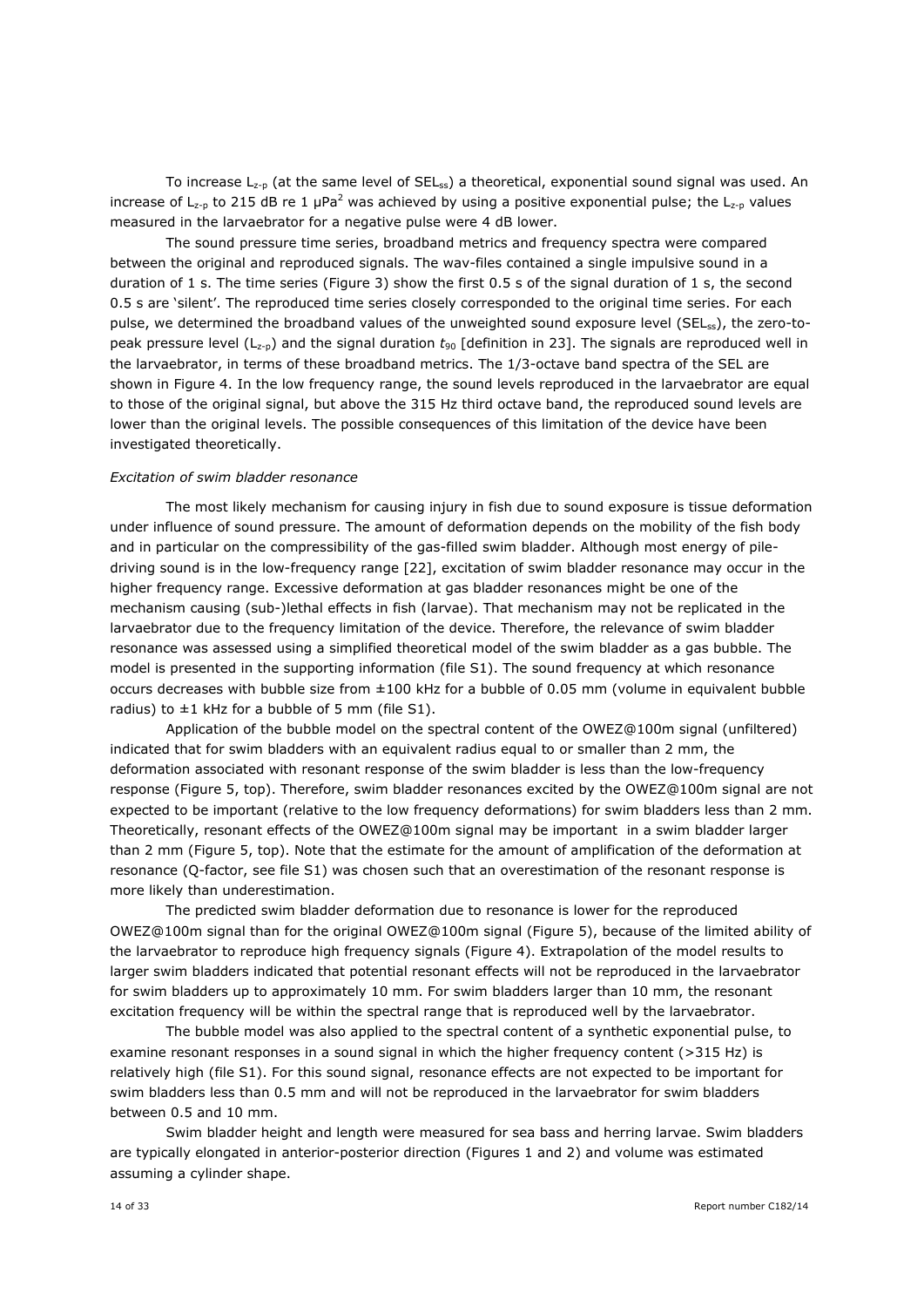To increase  $L_{z-p}$  (at the same level of SEL<sub>ss</sub>) a theoretical, exponential sound signal was used. An increase of L<sub>z-p</sub> to 215 dB re 1 µPa<sup>2</sup> was achieved by using a positive exponential pulse; the L<sub>z-p</sub> values measured in the larvaebrator for a negative pulse were 4 dB lower.

The sound pressure time series, broadband metrics and frequency spectra were compared between the original and reproduced signals. The wav-files contained a single impulsive sound in a duration of 1 s. The time series (Figure 3) show the first 0.5 s of the signal duration of 1 s, the second 0.5 s are 'silent'. The reproduced time series closely corresponded to the original time series. For each pulse, we determined the broadband values of the unweighted sound exposure level (SEL<sub>ss</sub>), the zero-topeak pressure level (Lz-p) and the signal duration *t*<sup>90</sup> [definition in 23]. The signals are reproduced well in the larvaebrator, in terms of these broadband metrics. The 1/3-octave band spectra of the SEL are shown in Figure 4. In the low frequency range, the sound levels reproduced in the larvaebrator are equal to those of the original signal, but above the 315 Hz third octave band, the reproduced sound levels are lower than the original levels. The possible consequences of this limitation of the device have been investigated theoretically.

#### *Excitation of swim bladder resonance*

The most likely mechanism for causing injury in fish due to sound exposure is tissue deformation under influence of sound pressure. The amount of deformation depends on the mobility of the fish body and in particular on the compressibility of the gas-filled swim bladder. Although most energy of piledriving sound is in the low-frequency range [22], excitation of swim bladder resonance may occur in the higher frequency range. Excessive deformation at gas bladder resonances might be one of the mechanism causing (sub-)lethal effects in fish (larvae). That mechanism may not be replicated in the larvaebrator due to the frequency limitation of the device. Therefore, the relevance of swim bladder resonance was assessed using a simplified theoretical model of the swim bladder as a gas bubble. The model is presented in the supporting information (file S1). The sound frequency at which resonance occurs decreases with bubble size from ±100 kHz for a bubble of 0.05 mm (volume in equivalent bubble radius) to  $\pm 1$  kHz for a bubble of 5 mm (file S1).

Application of the bubble model on the spectral content of the OWEZ@100m signal (unfiltered) indicated that for swim bladders with an equivalent radius equal to or smaller than 2 mm, the deformation associated with resonant response of the swim bladder is less than the low-frequency response (Figure 5, top). Therefore, swim bladder resonances excited by the OWEZ@100m signal are not expected to be important (relative to the low frequency deformations) for swim bladders less than 2 mm. Theoretically, resonant effects of the OWEZ@100m signal may be important in a swim bladder larger than 2 mm (Figure 5, top). Note that the estimate for the amount of amplification of the deformation at resonance (Q-factor, see file S1) was chosen such that an overestimation of the resonant response is more likely than underestimation.

The predicted swim bladder deformation due to resonance is lower for the reproduced OWEZ@100m signal than for the original OWEZ@100m signal (Figure 5), because of the limited ability of the larvaebrator to reproduce high frequency signals (Figure 4). Extrapolation of the model results to larger swim bladders indicated that potential resonant effects will not be reproduced in the larvaebrator for swim bladders up to approximately 10 mm. For swim bladders larger than 10 mm, the resonant excitation frequency will be within the spectral range that is reproduced well by the larvaebrator.

The bubble model was also applied to the spectral content of a synthetic exponential pulse, to examine resonant responses in a sound signal in which the higher frequency content (>315 Hz) is relatively high (file S1). For this sound signal, resonance effects are not expected to be important for swim bladders less than 0.5 mm and will not be reproduced in the larvaebrator for swim bladders between 0.5 and 10 mm.

Swim bladder height and length were measured for sea bass and herring larvae. Swim bladders are typically elongated in anterior-posterior direction (Figures 1 and 2) and volume was estimated assuming a cylinder shape.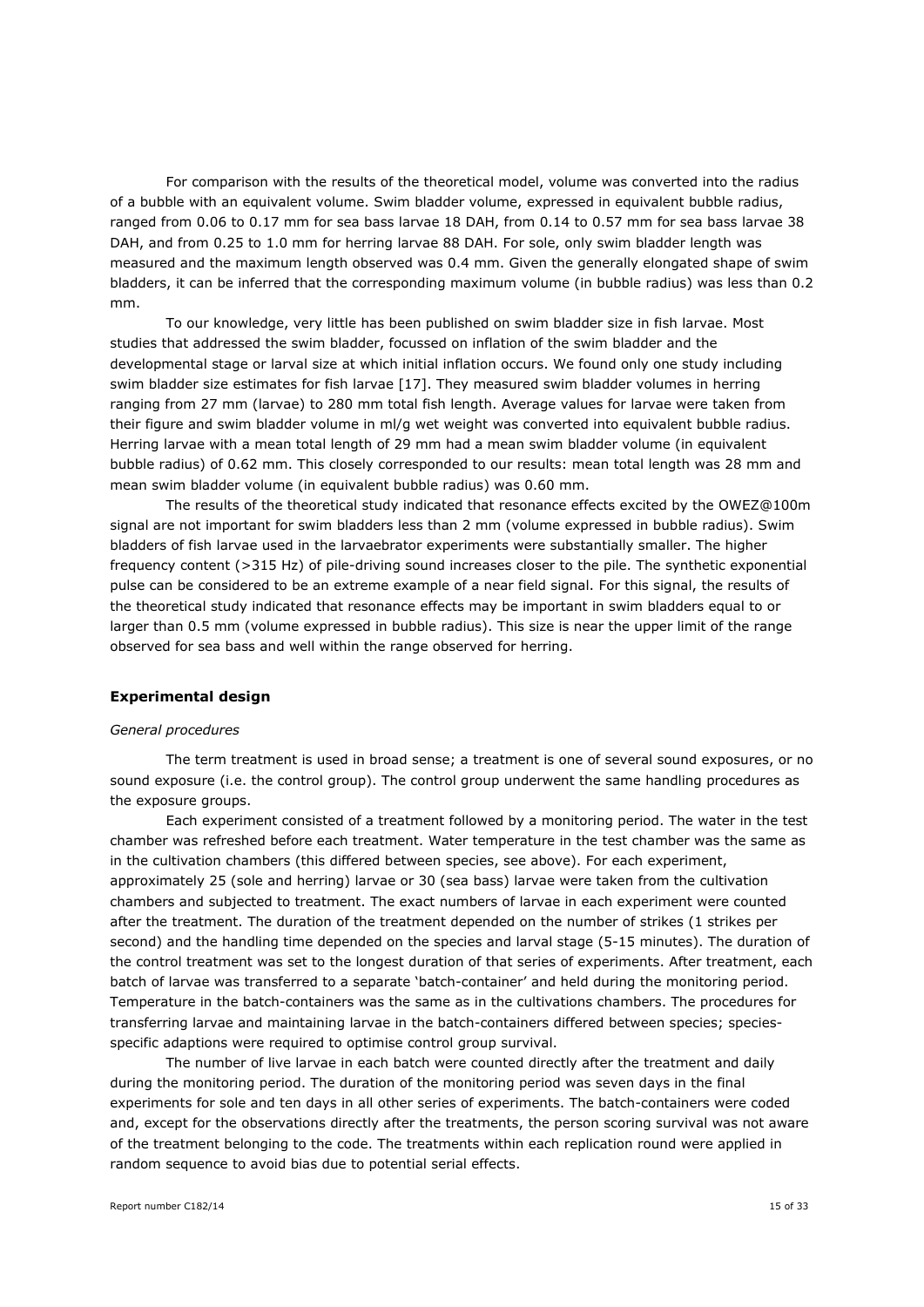For comparison with the results of the theoretical model, volume was converted into the radius of a bubble with an equivalent volume. Swim bladder volume, expressed in equivalent bubble radius, ranged from 0.06 to 0.17 mm for sea bass larvae 18 DAH, from 0.14 to 0.57 mm for sea bass larvae 38 DAH, and from 0.25 to 1.0 mm for herring larvae 88 DAH. For sole, only swim bladder length was measured and the maximum length observed was 0.4 mm. Given the generally elongated shape of swim bladders, it can be inferred that the corresponding maximum volume (in bubble radius) was less than 0.2 mm.

To our knowledge, very little has been published on swim bladder size in fish larvae. Most studies that addressed the swim bladder, focussed on inflation of the swim bladder and the developmental stage or larval size at which initial inflation occurs. We found only one study including swim bladder size estimates for fish larvae [17]. They measured swim bladder volumes in herring ranging from 27 mm (larvae) to 280 mm total fish length. Average values for larvae were taken from their figure and swim bladder volume in ml/g wet weight was converted into equivalent bubble radius. Herring larvae with a mean total length of 29 mm had a mean swim bladder volume (in equivalent bubble radius) of 0.62 mm. This closely corresponded to our results: mean total length was 28 mm and mean swim bladder volume (in equivalent bubble radius) was 0.60 mm.

The results of the theoretical study indicated that resonance effects excited by the OWEZ@100m signal are not important for swim bladders less than 2 mm (volume expressed in bubble radius). Swim bladders of fish larvae used in the larvaebrator experiments were substantially smaller. The higher frequency content (>315 Hz) of pile-driving sound increases closer to the pile. The synthetic exponential pulse can be considered to be an extreme example of a near field signal. For this signal, the results of the theoretical study indicated that resonance effects may be important in swim bladders equal to or larger than 0.5 mm (volume expressed in bubble radius). This size is near the upper limit of the range observed for sea bass and well within the range observed for herring.

#### **Experimental design**

#### *General procedures*

The term treatment is used in broad sense; a treatment is one of several sound exposures, or no sound exposure (i.e. the control group). The control group underwent the same handling procedures as the exposure groups.

Each experiment consisted of a treatment followed by a monitoring period. The water in the test chamber was refreshed before each treatment. Water temperature in the test chamber was the same as in the cultivation chambers (this differed between species, see above). For each experiment, approximately 25 (sole and herring) larvae or 30 (sea bass) larvae were taken from the cultivation chambers and subjected to treatment. The exact numbers of larvae in each experiment were counted after the treatment. The duration of the treatment depended on the number of strikes (1 strikes per second) and the handling time depended on the species and larval stage (5-15 minutes). The duration of the control treatment was set to the longest duration of that series of experiments. After treatment, each batch of larvae was transferred to a separate 'batch-container' and held during the monitoring period. Temperature in the batch-containers was the same as in the cultivations chambers. The procedures for transferring larvae and maintaining larvae in the batch-containers differed between species; speciesspecific adaptions were required to optimise control group survival.

The number of live larvae in each batch were counted directly after the treatment and daily during the monitoring period. The duration of the monitoring period was seven days in the final experiments for sole and ten days in all other series of experiments. The batch-containers were coded and, except for the observations directly after the treatments, the person scoring survival was not aware of the treatment belonging to the code. The treatments within each replication round were applied in random sequence to avoid bias due to potential serial effects.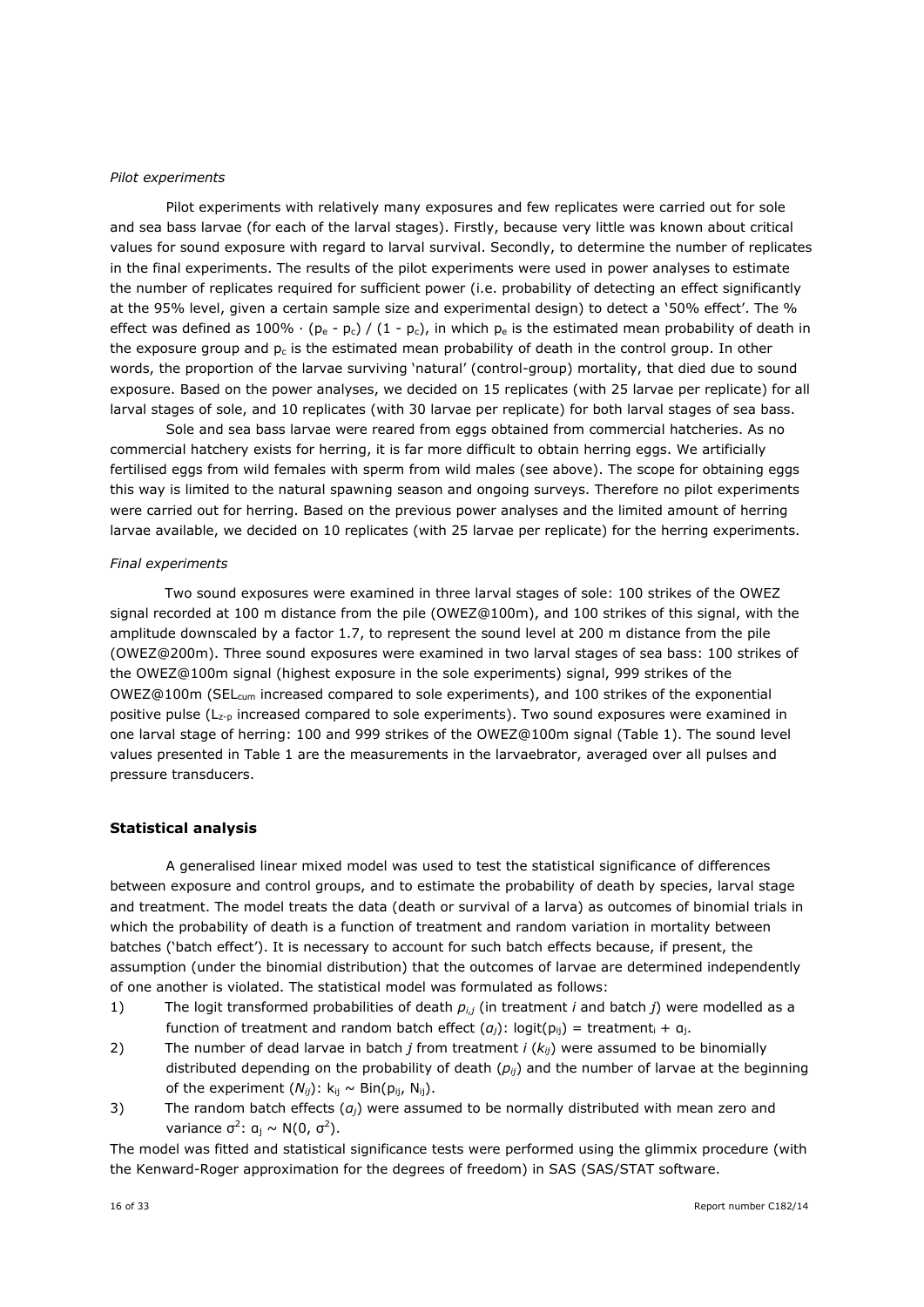#### *Pilot experiments*

Pilot experiments with relatively many exposures and few replicates were carried out for sole and sea bass larvae (for each of the larval stages). Firstly, because very little was known about critical values for sound exposure with regard to larval survival. Secondly, to determine the number of replicates in the final experiments. The results of the pilot experiments were used in power analyses to estimate the number of replicates required for sufficient power (i.e. probability of detecting an effect significantly at the 95% level, given a certain sample size and experimental design) to detect a '50% effect'. The % effect was defined as 100% ⋅ (pe - pc) / (1 - pc), in which pe is the estimated mean probability of death in the exposure group and  $p_c$  is the estimated mean probability of death in the control group. In other words, the proportion of the larvae surviving 'natural' (control-group) mortality, that died due to sound exposure. Based on the power analyses, we decided on 15 replicates (with 25 larvae per replicate) for all larval stages of sole, and 10 replicates (with 30 larvae per replicate) for both larval stages of sea bass.

Sole and sea bass larvae were reared from eggs obtained from commercial hatcheries. As no commercial hatchery exists for herring, it is far more difficult to obtain herring eggs. We artificially fertilised eggs from wild females with sperm from wild males (see above). The scope for obtaining eggs this way is limited to the natural spawning season and ongoing surveys. Therefore no pilot experiments were carried out for herring. Based on the previous power analyses and the limited amount of herring larvae available, we decided on 10 replicates (with 25 larvae per replicate) for the herring experiments.

#### *Final experiments*

Two sound exposures were examined in three larval stages of sole: 100 strikes of the OWEZ signal recorded at 100 m distance from the pile (OWEZ@100m), and 100 strikes of this signal, with the amplitude downscaled by a factor 1.7, to represent the sound level at 200 m distance from the pile (OWEZ@200m). Three sound exposures were examined in two larval stages of sea bass: 100 strikes of the OWEZ@100m signal (highest exposure in the sole experiments) signal, 999 strikes of the OWEZ@100m (SEL<sub>cum</sub> increased compared to sole experiments), and 100 strikes of the exponential positive pulse  $(L_{z-0}$  increased compared to sole experiments). Two sound exposures were examined in one larval stage of herring: 100 and 999 strikes of the OWEZ@100m signal (Table 1). The sound level values presented in Table 1 are the measurements in the larvaebrator, averaged over all pulses and pressure transducers.

#### **Statistical analysis**

A generalised linear mixed model was used to test the statistical significance of differences between exposure and control groups, and to estimate the probability of death by species, larval stage and treatment. The model treats the data (death or survival of a larva) as outcomes of binomial trials in which the probability of death is a function of treatment and random variation in mortality between batches ('batch effect'). It is necessary to account for such batch effects because, if present, the assumption (under the binomial distribution) that the outcomes of larvae are determined independently of one another is violated. The statistical model was formulated as follows:

- 1) The logit transformed probabilities of death *pi,j* (in treatment *i* and batch *j*) were modelled as a function of treatment and random batch effect  $(a_i)$ : logit( $p_{ii}$ ) = treatment<sub>i</sub> +  $a_i$ .
- 2) The number of dead larvae in batch *j* from treatment *i* (*kij*) were assumed to be binomially distributed depending on the probability of death (*pij*) and the number of larvae at the beginning of the experiment  $(N_{ii})$ :  $k_{ii} \sim Bin(p_{ii}, N_{ii})$ .
- 3) The random batch effects (*αj*) were assumed to be normally distributed with mean zero and variance  $\sigma^2$ : α<sub>j</sub> ~ N(0,  $\sigma^2$ ).

The model was fitted and statistical significance tests were performed using the glimmix procedure (with the Kenward-Roger approximation for the degrees of freedom) in SAS (SAS/STAT software.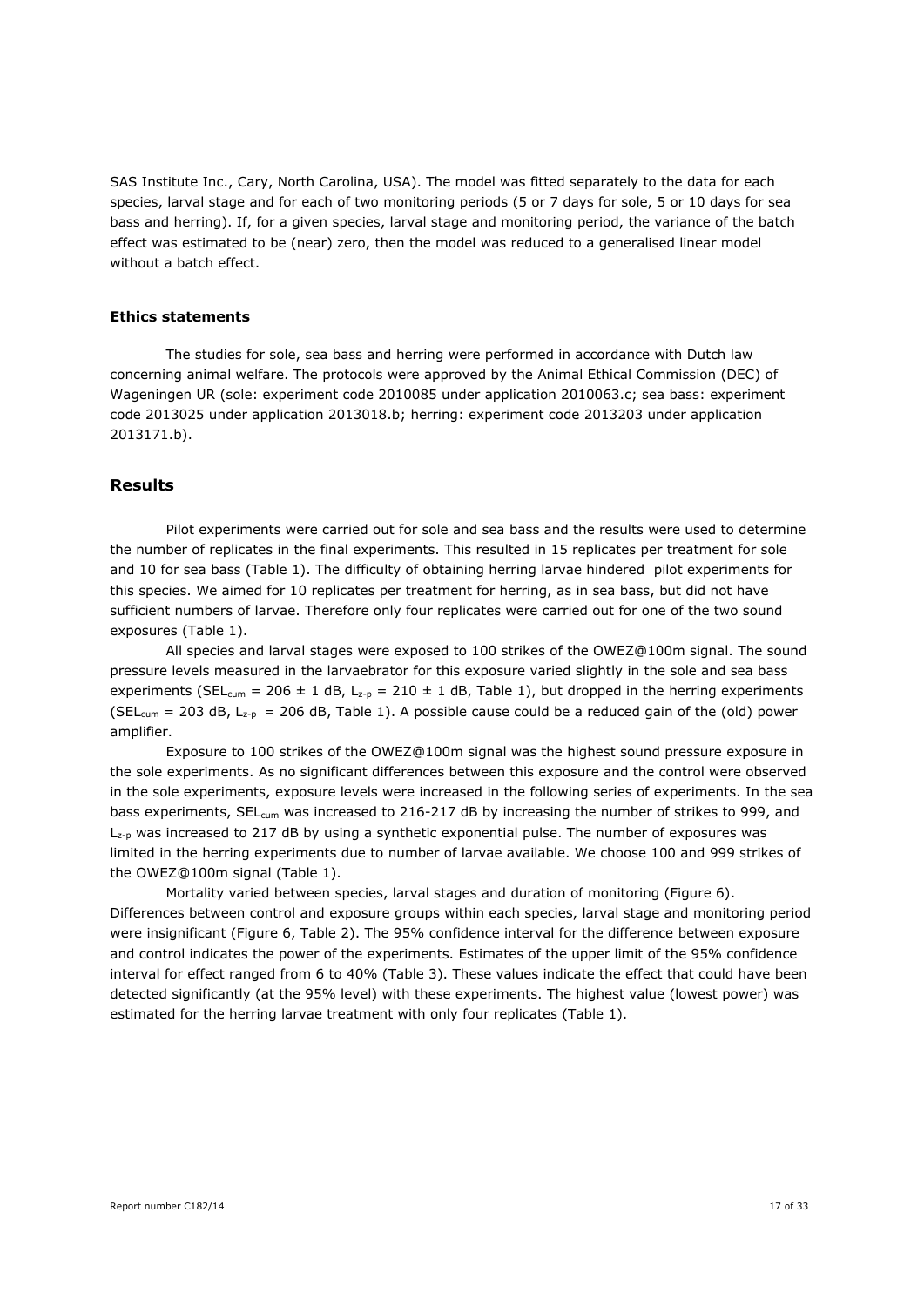SAS Institute Inc., Cary, North Carolina, USA). The model was fitted separately to the data for each species, larval stage and for each of two monitoring periods (5 or 7 days for sole, 5 or 10 days for sea bass and herring). If, for a given species, larval stage and monitoring period, the variance of the batch effect was estimated to be (near) zero, then the model was reduced to a generalised linear model without a batch effect.

## **Ethics statements**

The studies for sole, sea bass and herring were performed in accordance with Dutch law concerning animal welfare. The protocols were approved by the Animal Ethical Commission (DEC) of Wageningen UR (sole: experiment code 2010085 under application 2010063.c; sea bass: experiment code 2013025 under application 2013018.b; herring: experiment code 2013203 under application 2013171.b).

## **Results**

Pilot experiments were carried out for sole and sea bass and the results were used to determine the number of replicates in the final experiments. This resulted in 15 replicates per treatment for sole and 10 for sea bass (Table 1). The difficulty of obtaining herring larvae hindered pilot experiments for this species. We aimed for 10 replicates per treatment for herring, as in sea bass, but did not have sufficient numbers of larvae. Therefore only four replicates were carried out for one of the two sound exposures (Table 1).

All species and larval stages were exposed to 100 strikes of the OWEZ@100m signal. The sound pressure levels measured in the larvaebrator for this exposure varied slightly in the sole and sea bass experiments (SEL<sub>cum</sub> = 206 ± 1 dB, L<sub>z-p</sub> = 210 ± 1 dB, Table 1), but dropped in the herring experiments (SEL<sub>cum</sub> = 203 dB, L<sub>z-p</sub> = 206 dB, Table 1). A possible cause could be a reduced gain of the (old) power amplifier.

Exposure to 100 strikes of the OWEZ@100m signal was the highest sound pressure exposure in the sole experiments. As no significant differences between this exposure and the control were observed in the sole experiments, exposure levels were increased in the following series of experiments. In the sea bass experiments, SEL<sub>cum</sub> was increased to 216-217 dB by increasing the number of strikes to 999, and  $L_{z-p}$  was increased to 217 dB by using a synthetic exponential pulse. The number of exposures was limited in the herring experiments due to number of larvae available. We choose 100 and 999 strikes of the OWEZ@100m signal (Table 1).

Mortality varied between species, larval stages and duration of monitoring (Figure 6). Differences between control and exposure groups within each species, larval stage and monitoring period were insignificant (Figure 6, Table 2). The 95% confidence interval for the difference between exposure and control indicates the power of the experiments. Estimates of the upper limit of the 95% confidence interval for effect ranged from 6 to 40% (Table 3). These values indicate the effect that could have been detected significantly (at the 95% level) with these experiments. The highest value (lowest power) was estimated for the herring larvae treatment with only four replicates (Table 1).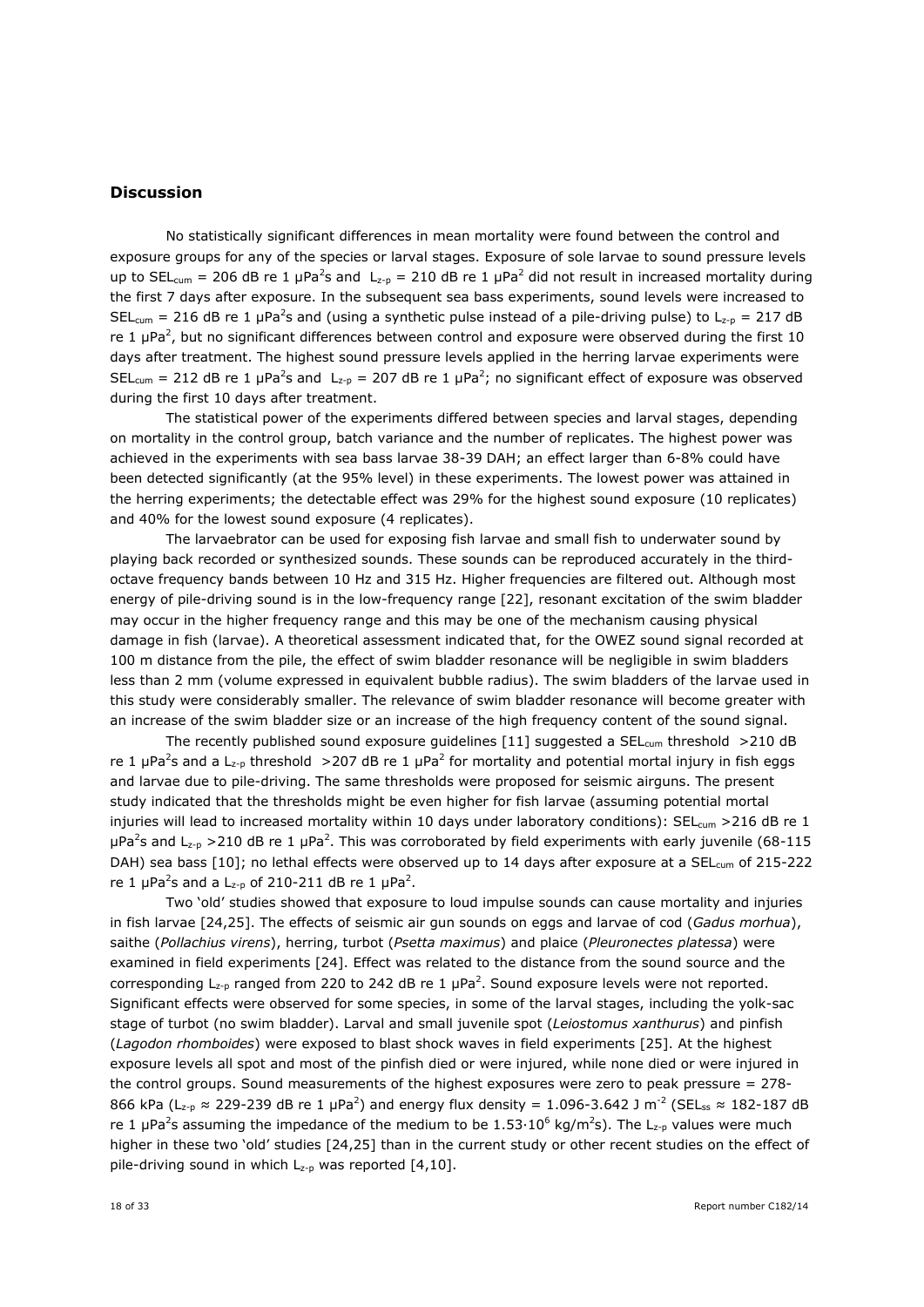## **Discussion**

No statistically significant differences in mean mortality were found between the control and exposure groups for any of the species or larval stages. Exposure of sole larvae to sound pressure levels up to SEL<sub>cum</sub> = 206 dB re 1 µPa<sup>2</sup>s and L<sub>z-p</sub> = 210 dB re 1 µPa<sup>2</sup> did not result in increased mortality during the first 7 days after exposure. In the subsequent sea bass experiments, sound levels were increased to SEL<sub>cum</sub> = 216 dB re 1 µPa<sup>2</sup>s and (using a synthetic pulse instead of a pile-driving pulse) to L<sub>z-p</sub> = 217 dB re 1  $\mu$ Pa<sup>2</sup>, but no significant differences between control and exposure were observed during the first 10 days after treatment. The highest sound pressure levels applied in the herring larvae experiments were SEL<sub>cum</sub> = 212 dB re 1 µPa<sup>2</sup>s and L<sub>z-p</sub> = 207 dB re 1 µPa<sup>2</sup>; no significant effect of exposure was observed during the first 10 days after treatment.

The statistical power of the experiments differed between species and larval stages, depending on mortality in the control group, batch variance and the number of replicates. The highest power was achieved in the experiments with sea bass larvae 38-39 DAH; an effect larger than 6-8% could have been detected significantly (at the 95% level) in these experiments. The lowest power was attained in the herring experiments; the detectable effect was 29% for the highest sound exposure (10 replicates) and 40% for the lowest sound exposure (4 replicates).

The larvaebrator can be used for exposing fish larvae and small fish to underwater sound by playing back recorded or synthesized sounds. These sounds can be reproduced accurately in the thirdoctave frequency bands between 10 Hz and 315 Hz. Higher frequencies are filtered out. Although most energy of pile-driving sound is in the low-frequency range [22], resonant excitation of the swim bladder may occur in the higher frequency range and this may be one of the mechanism causing physical damage in fish (larvae). A theoretical assessment indicated that, for the OWEZ sound signal recorded at 100 m distance from the pile, the effect of swim bladder resonance will be negligible in swim bladders less than 2 mm (volume expressed in equivalent bubble radius). The swim bladders of the larvae used in this study were considerably smaller. The relevance of swim bladder resonance will become greater with an increase of the swim bladder size or an increase of the high frequency content of the sound signal.

The recently published sound exposure quidelines [11] suggested a SEL<sub>cum</sub> threshold >210 dB re 1 µPa<sup>2</sup>s and a L<sub>z-p</sub> threshold >207 dB re 1 µPa<sup>2</sup> for mortality and potential mortal injury in fish eggs and larvae due to pile-driving. The same thresholds were proposed for seismic airguns. The present study indicated that the thresholds might be even higher for fish larvae (assuming potential mortal injuries will lead to increased mortality within 10 days under laboratory conditions): SEL<sub>cum</sub> >216 dB re 1  $\mu$ Pa<sup>2</sup>s and L<sub>z-p</sub> > 210 dB re 1  $\mu$ Pa<sup>2</sup>. This was corroborated by field experiments with early juvenile (68-115 DAH) sea bass [10]; no lethal effects were observed up to 14 days after exposure at a SEL<sub>cum</sub> of 215-222 re 1  $\mu$ Pa<sup>2</sup>s and a L<sub>z-p</sub> of 210-211 dB re 1  $\mu$ Pa<sup>2</sup>.

Two 'old' studies showed that exposure to loud impulse sounds can cause mortality and injuries in fish larvae [24,25]. The effects of seismic air gun sounds on eggs and larvae of cod (*Gadus morhua*), saithe (*Pollachius virens*), herring, turbot (*Psetta maximus*) and plaice (*Pleuronectes platessa*) were examined in field experiments [24]. Effect was related to the distance from the sound source and the corresponding  $L_{z-p}$  ranged from 220 to 242 dB re 1  $\mu$ Pa<sup>2</sup>. Sound exposure levels were not reported. Significant effects were observed for some species, in some of the larval stages, including the yolk-sac stage of turbot (no swim bladder). Larval and small juvenile spot (*Leiostomus xanthurus*) and pinfish (*Lagodon rhomboides*) were exposed to blast shock waves in field experiments [25]. At the highest exposure levels all spot and most of the pinfish died or were injured, while none died or were injured in the control groups. Sound measurements of the highest exposures were zero to peak pressure = 278- 866 kPa (L<sub>z-p</sub>  $\approx$  229-239 dB re 1  $\mu$ Pa<sup>2</sup>) and energy flux density = 1.096-3.642 J m<sup>-2</sup> (SEL<sub>ss</sub>  $\approx$  182-187 dB re 1 µPa<sup>2</sup>s assuming the impedance of the medium to be 1.53 $\cdot 10^6$  kg/m<sup>2</sup>s). The L<sub>z-p</sub> values were much higher in these two 'old' studies [24,25] than in the current study or other recent studies on the effect of pile-driving sound in which  $L_{z-p}$  was reported [4,10].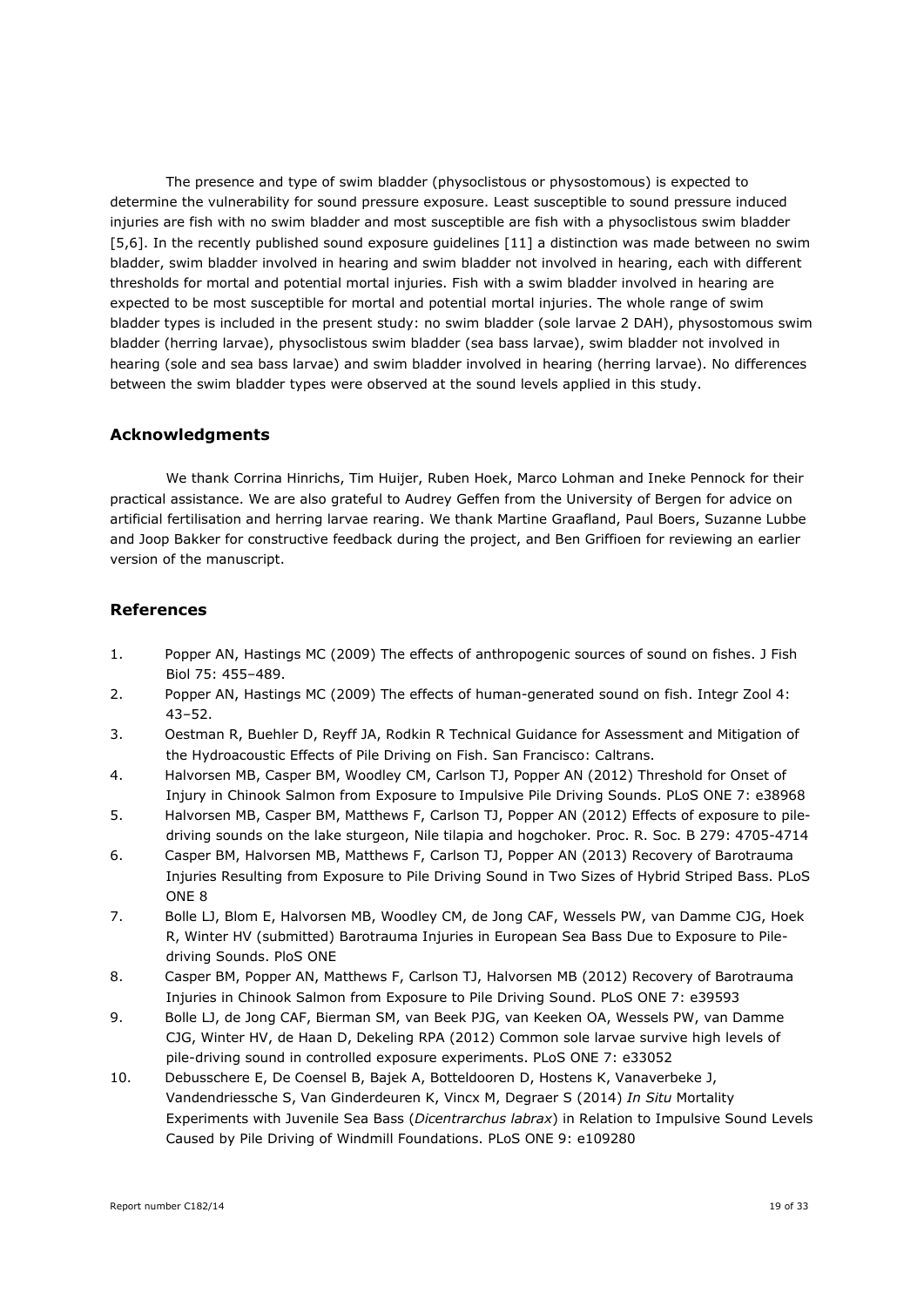The presence and type of swim bladder (physoclistous or physostomous) is expected to determine the vulnerability for sound pressure exposure. Least susceptible to sound pressure induced injuries are fish with no swim bladder and most susceptible are fish with a physoclistous swim bladder [5,6]. In the recently published sound exposure guidelines [11] a distinction was made between no swim bladder, swim bladder involved in hearing and swim bladder not involved in hearing, each with different thresholds for mortal and potential mortal injuries. Fish with a swim bladder involved in hearing are expected to be most susceptible for mortal and potential mortal injuries. The whole range of swim bladder types is included in the present study: no swim bladder (sole larvae 2 DAH), physostomous swim bladder (herring larvae), physoclistous swim bladder (sea bass larvae), swim bladder not involved in hearing (sole and sea bass larvae) and swim bladder involved in hearing (herring larvae). No differences between the swim bladder types were observed at the sound levels applied in this study.

## **Acknowledgments**

We thank Corrina Hinrichs, Tim Huijer, Ruben Hoek, Marco Lohman and Ineke Pennock for their practical assistance. We are also grateful to Audrey Geffen from the University of Bergen for advice on artificial fertilisation and herring larvae rearing. We thank Martine Graafland, Paul Boers, Suzanne Lubbe and Joop Bakker for constructive feedback during the project, and Ben Griffioen for reviewing an earlier version of the manuscript.

## **References**

- 1. Popper AN, Hastings MC (2009) The effects of anthropogenic sources of sound on fishes. J Fish Biol 75: 455–489.
- 2. Popper AN, Hastings MC (2009) The effects of human-generated sound on fish. Integr Zool 4: 43–52.
- 3. Oestman R, Buehler D, Reyff JA, Rodkin R Technical Guidance for Assessment and Mitigation of the Hydroacoustic Effects of Pile Driving on Fish. San Francisco: Caltrans.
- 4. Halvorsen MB, Casper BM, Woodley CM, Carlson TJ, Popper AN (2012) Threshold for Onset of Injury in Chinook Salmon from Exposure to Impulsive Pile Driving Sounds. PLoS ONE 7: e38968
- 5. Halvorsen MB, Casper BM, Matthews F, Carlson TJ, Popper AN (2012) Effects of exposure to piledriving sounds on the lake sturgeon, Nile tilapia and hogchoker. Proc. R. Soc. B 279: 4705-4714
- 6. Casper BM, Halvorsen MB, Matthews F, Carlson TJ, Popper AN (2013) Recovery of Barotrauma Injuries Resulting from Exposure to Pile Driving Sound in Two Sizes of Hybrid Striped Bass. PLoS ONE 8
- 7. Bolle LJ, Blom E, Halvorsen MB, Woodley CM, de Jong CAF, Wessels PW, van Damme CJG, Hoek R, Winter HV (submitted) Barotrauma Injuries in European Sea Bass Due to Exposure to Piledriving Sounds. PloS ONE
- 8. Casper BM, Popper AN, Matthews F, Carlson TJ, Halvorsen MB (2012) Recovery of Barotrauma Injuries in Chinook Salmon from Exposure to Pile Driving Sound. PLoS ONE 7: e39593
- 9. Bolle LJ, de Jong CAF, Bierman SM, van Beek PJG, van Keeken OA, Wessels PW, van Damme CJG, Winter HV, de Haan D, Dekeling RPA (2012) Common sole larvae survive high levels of pile-driving sound in controlled exposure experiments. PLoS ONE 7: e33052
- 10. Debusschere E, De Coensel B, Bajek A, Botteldooren D, Hostens K, Vanaverbeke J, Vandendriessche S, Van Ginderdeuren K, Vincx M, Degraer S (2014) *In Situ* Mortality Experiments with Juvenile Sea Bass (*Dicentrarchus labrax*) in Relation to Impulsive Sound Levels Caused by Pile Driving of Windmill Foundations. PLoS ONE 9: e109280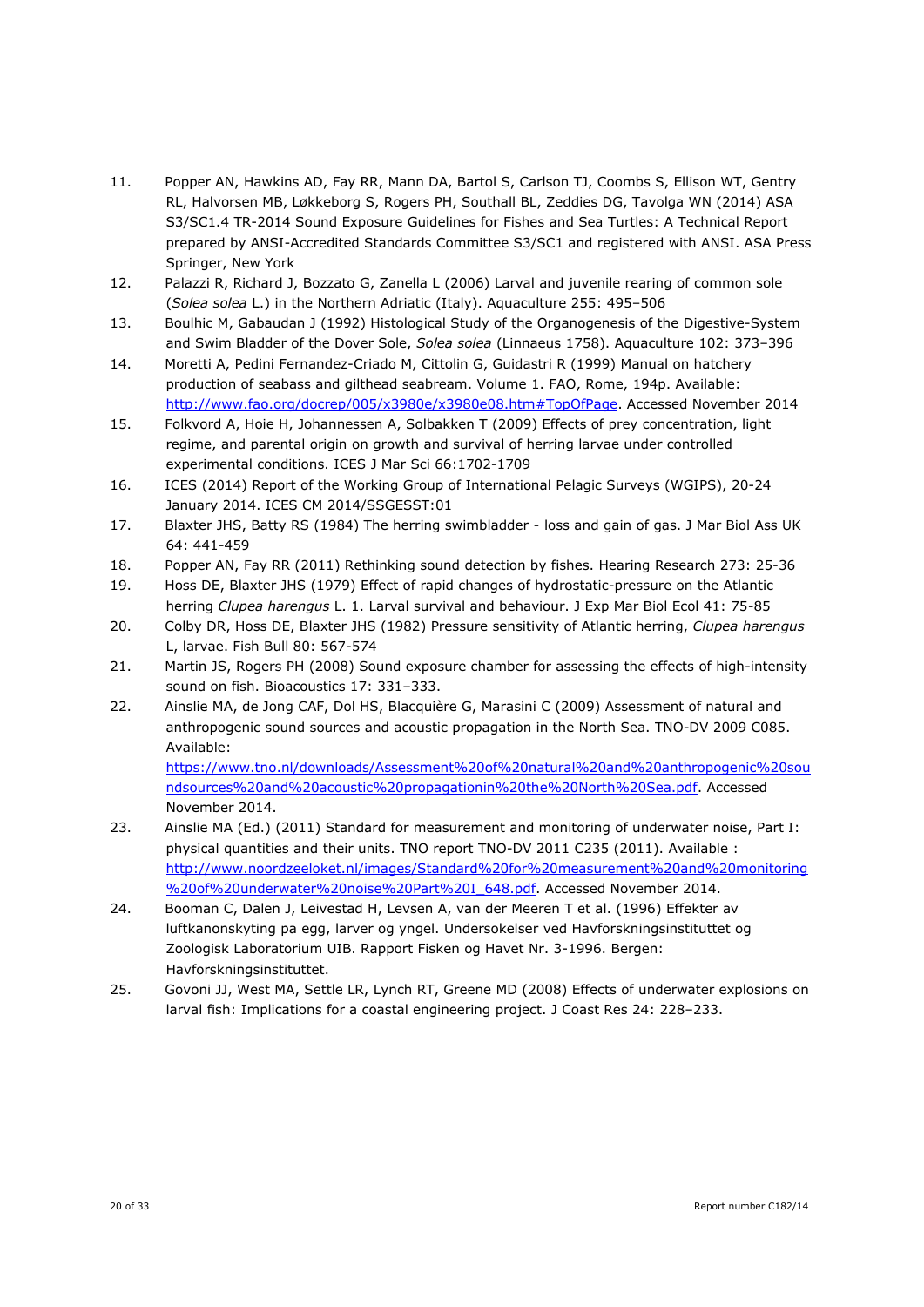- 11. Popper AN, Hawkins AD, Fay RR, Mann DA, Bartol S, Carlson TJ, Coombs S, Ellison WT, Gentry RL, Halvorsen MB, Løkkeborg S, Rogers PH, Southall BL, Zeddies DG, Tavolga WN (2014) ASA S3/SC1.4 TR-2014 Sound Exposure Guidelines for Fishes and Sea Turtles: A Technical Report prepared by ANSI-Accredited Standards Committee S3/SC1 and registered with ANSI. ASA Press Springer, New York
- 12. Palazzi R, Richard J, Bozzato G, Zanella L (2006) Larval and juvenile rearing of common sole (*Solea solea* L.) in the Northern Adriatic (Italy). Aquaculture 255: 495–506
- 13. Boulhic M, Gabaudan J (1992) Histological Study of the Organogenesis of the Digestive-System and Swim Bladder of the Dover Sole, *Solea solea* (Linnaeus 1758). Aquaculture 102: 373–396
- 14. Moretti A, Pedini Fernandez-Criado M, Cittolin G, Guidastri R (1999) Manual on hatchery production of seabass and gilthead seabream. Volume 1. FAO, Rome, 194p. Available: [http://www.fao.org/docrep/005/x3980e/x3980e08.htm#TopOfPage.](http://www.fao.org/docrep/005/x3980e/x3980e08.htm#TopOfPage) Accessed November 2014
- 15. Folkvord A, Hoie H, Johannessen A, Solbakken T (2009) Effects of prey concentration, light regime, and parental origin on growth and survival of herring larvae under controlled experimental conditions. ICES J Mar Sci 66:1702-1709
- 16. ICES (2014) Report of the Working Group of International Pelagic Surveys (WGIPS), 20-24 January 2014. ICES CM 2014/SSGESST:01
- 17. Blaxter JHS, Batty RS (1984) The herring swimbladder loss and gain of gas. J Mar Biol Ass UK 64: 441-459
- 18. Popper AN, Fay RR (2011) Rethinking sound detection by fishes. Hearing Research 273: 25-36
- 19. Hoss DE, Blaxter JHS (1979) Effect of rapid changes of hydrostatic-pressure on the Atlantic herring *Clupea harengus* L. 1. Larval survival and behaviour. J Exp Mar Biol Ecol 41: 75-85
- 20. Colby DR, Hoss DE, Blaxter JHS (1982) Pressure sensitivity of Atlantic herring, *Clupea harengus*  L, larvae. Fish Bull 80: 567-574
- 21. Martin JS, Rogers PH (2008) Sound exposure chamber for assessing the effects of high-intensity sound on fish. Bioacoustics 17: 331–333.
- 22. Ainslie MA, de Jong CAF, Dol HS, Blacquière G, Marasini C (2009) Assessment of natural and anthropogenic sound sources and acoustic propagation in the North Sea. TNO-DV 2009 C085. Available:

[https://www.tno.nl/downloads/Assessment%20of%20natural%20and%20anthropogenic%20sou](https://www.tno.nl/downloads/Assessment%20of%20natural%20and%20anthropogenic%20soundsources%20and%20acoustic%20propagationin%20the%20North%20Sea.pdf) [ndsources%20and%20acoustic%20propagationin%20the%20North%20Sea.pdf.](https://www.tno.nl/downloads/Assessment%20of%20natural%20and%20anthropogenic%20soundsources%20and%20acoustic%20propagationin%20the%20North%20Sea.pdf) Accessed November 2014.

- 23. Ainslie MA (Ed.) (2011) Standard for measurement and monitoring of underwater noise, Part I: physical quantities and their units. TNO report TNO-DV 2011 C235 (2011). Available : [http://www.noordzeeloket.nl/images/Standard%20for%20measurement%20and%20monitoring](http://www.noordzeeloket.nl/images/Standard%20for%20measurement%20and%20monitoring%20of%20underwater%20noise%20Part%20I_648.pdf) [%20of%20underwater%20noise%20Part%20I\\_648.pdf.](http://www.noordzeeloket.nl/images/Standard%20for%20measurement%20and%20monitoring%20of%20underwater%20noise%20Part%20I_648.pdf) Accessed November 2014.
- 24. Booman C, Dalen J, Leivestad H, Levsen A, van der Meeren T et al. (1996) Effekter av luftkanonskyting pa egg, larver og yngel. Undersokelser ved Havforskningsinstituttet og Zoologisk Laboratorium UIB. Rapport Fisken og Havet Nr. 3-1996. Bergen: Havforskningsinstituttet.
- 25. Govoni JJ, West MA, Settle LR, Lynch RT, Greene MD (2008) Effects of underwater explosions on larval fish: Implications for a coastal engineering project. J Coast Res 24: 228–233.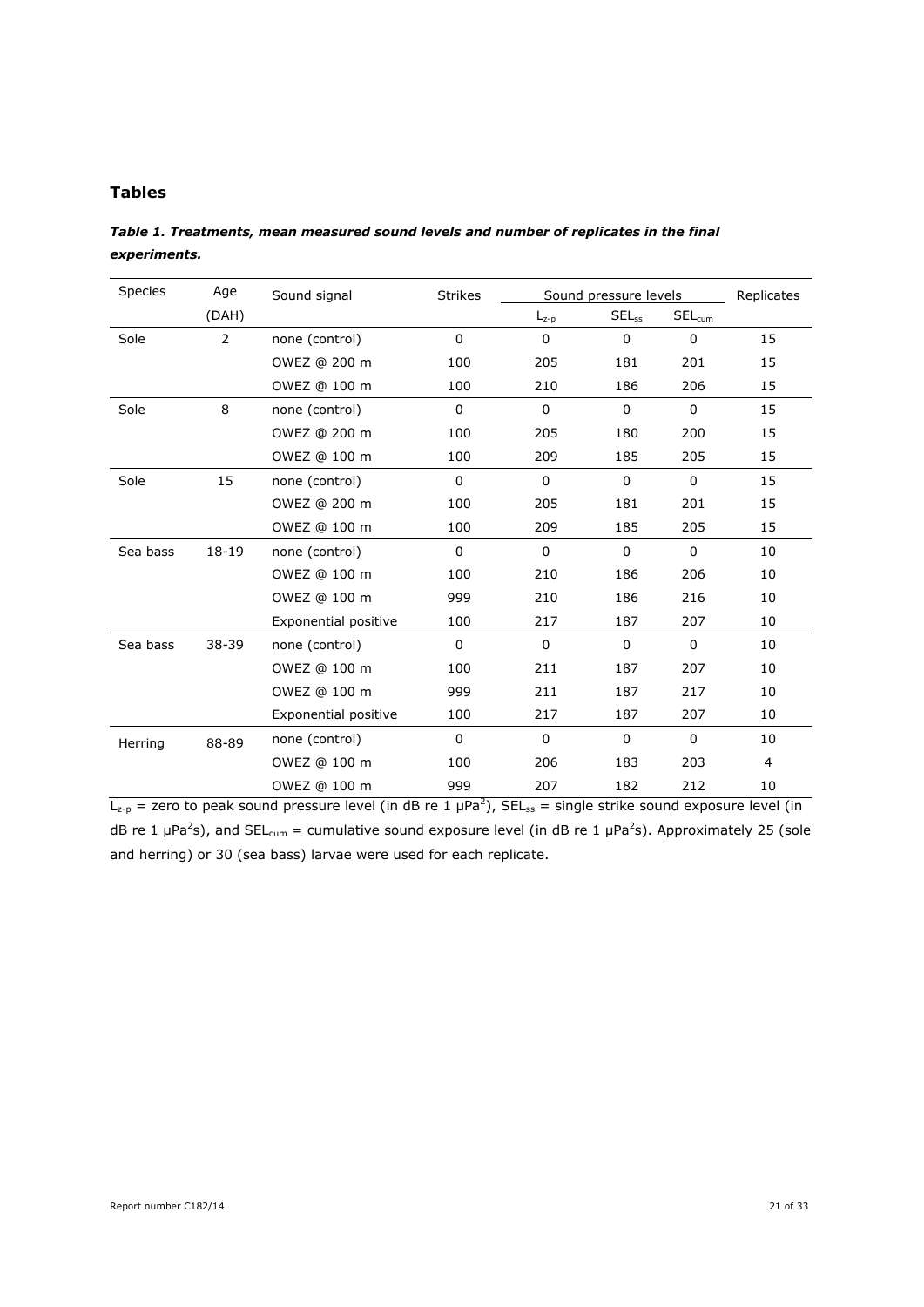## **Tables**

*Table 1. Treatments, mean measured sound levels and number of replicates in the final experiments.*

| Species  | Age            | Sound signal         | <b>Strikes</b> | Sound pressure levels |             |             | Replicates |
|----------|----------------|----------------------|----------------|-----------------------|-------------|-------------|------------|
|          | (DAH)          |                      |                | $L_{z-p}$             | $SEL_{ss}$  | $SEL_{cum}$ |            |
| Sole     | $\overline{2}$ | none (control)       | 0              | 0                     | $\mathbf 0$ | $\mathbf 0$ | 15         |
|          |                | OWEZ @ 200 m         | 100            | 205                   | 181         | 201         | 15         |
|          |                | OWEZ @ 100 m         | 100            | 210                   | 186         | 206         | 15         |
| Sole     | 8              | none (control)       | $\Omega$       | $\Omega$              | $\Omega$    | $\Omega$    | 15         |
|          |                | OWEZ @ 200 m         | 100            | 205                   | 180         | 200         | 15         |
|          |                | OWEZ @ 100 m         | 100            | 209                   | 185         | 205         | 15         |
| Sole     | 15             | none (control)       | $\Omega$       | $\Omega$              | $\Omega$    | 0           | 15         |
|          |                | OWEZ @ 200 m         | 100            | 205                   | 181         | 201         | 15         |
|          |                | OWEZ @ 100 m         | 100            | 209                   | 185         | 205         | 15         |
| Sea bass | $18 - 19$      | none (control)       | $\Omega$       | $\Omega$              | $\Omega$    | $\Omega$    | 10         |
|          |                | OWEZ @ 100 m         | 100            | 210                   | 186         | 206         | 10         |
|          |                | OWEZ @ 100 m<br>999  |                | 210                   | 186         | 216         | 10         |
|          |                | Exponential positive | 100            | 217                   | 187         | 207         | 10         |
| Sea bass | 38-39          | none (control)       | $\Omega$       | $\Omega$              | $\Omega$    | $\mathbf 0$ | 10         |
|          |                | OWEZ @ 100 m         | 100            | 211                   | 187         | 207         | 10         |
|          |                | OWEZ @ 100 m         | 999            | 211                   | 187         | 217         | 10         |
|          |                | Exponential positive | 100            | 217                   | 187         | 207         | 10         |
| Herring  | 88-89          | none (control)       | $\mathbf 0$    | 0                     | $\mathbf 0$ | 0           | 10         |
|          |                | OWEZ @ 100 m         | 100            | 206                   | 183         | 203         | 4          |
|          |                | OWEZ @ 100 m         | 999            | 207                   | 182         | 212         | 10         |

 $L_{z-p}$  = zero to peak sound pressure level (in dB re 1  $\mu$ Pa<sup>2</sup>), SEL<sub>ss</sub> = single strike sound exposure level (in dB re 1  $\mu$ Pa<sup>2</sup>s), and SEL<sub>cum</sub> = cumulative sound exposure level (in dB re 1  $\mu$ Pa<sup>2</sup>s). Approximately 25 (sole and herring) or 30 (sea bass) larvae were used for each replicate.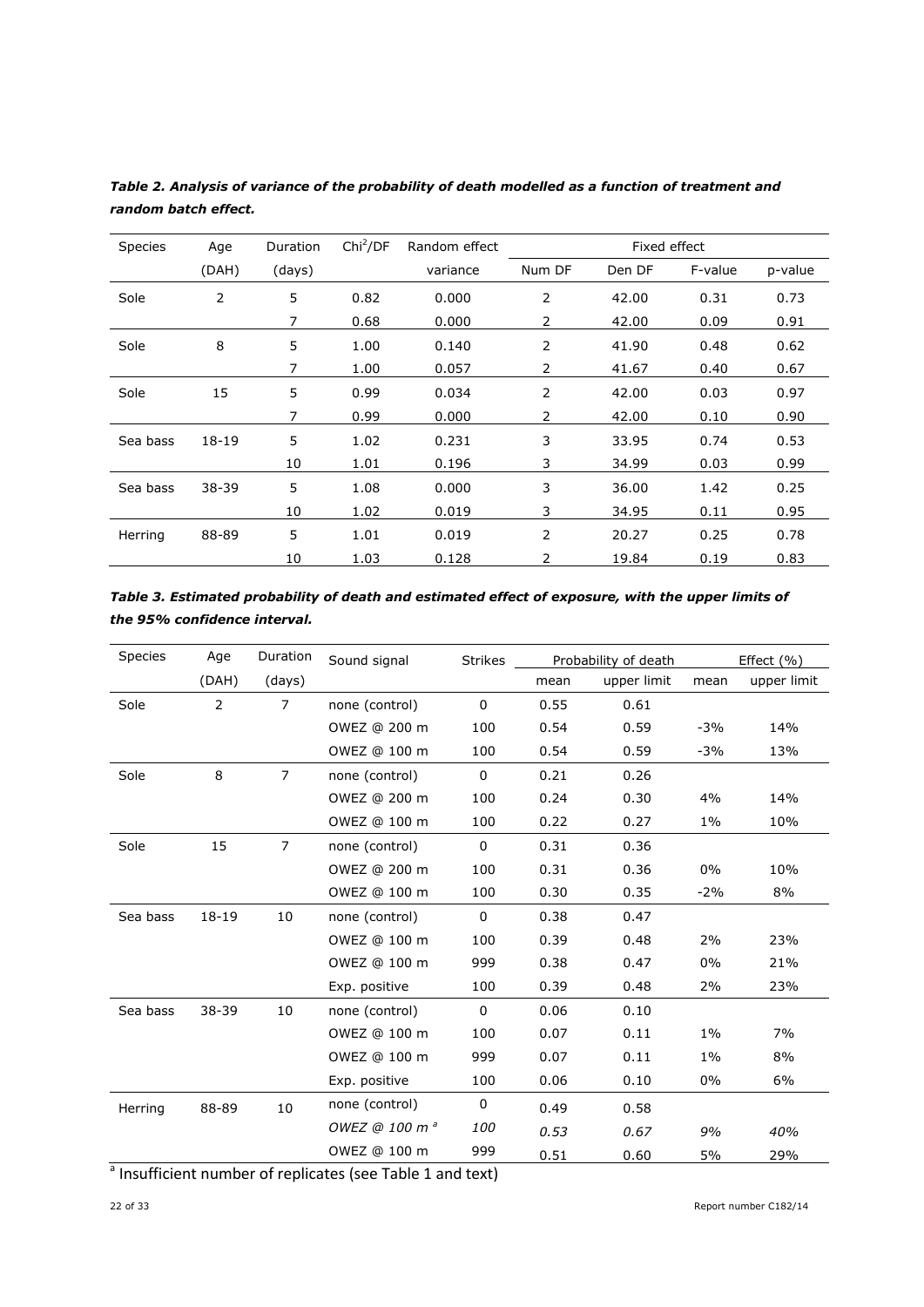| Species  | Age   | <b>Duration</b> | Chi <sup>2</sup> /DF | Random effect | Fixed effect |        |         |         |
|----------|-------|-----------------|----------------------|---------------|--------------|--------|---------|---------|
|          | (DAH) | (days)          |                      | variance      | Num DF       | Den DF | F-value | p-value |
| Sole     | 2     | 5               | 0.82                 | 0.000         | 2            | 42.00  | 0.31    | 0.73    |
|          |       | 7               | 0.68                 | 0.000         | 2            | 42.00  | 0.09    | 0.91    |
| Sole     | 8     | 5               | 1.00                 | 0.140         | 2            | 41.90  | 0.48    | 0.62    |
|          |       | 7               | 1.00                 | 0.057         | 2            | 41.67  | 0.40    | 0.67    |
| Sole     | 15    | 5               | 0.99                 | 0.034         | 2            | 42.00  | 0.03    | 0.97    |
|          |       | 7               | 0.99                 | 0.000         | 2            | 42.00  | 0.10    | 0.90    |
| Sea bass | 18-19 | 5               | 1.02                 | 0.231         | 3            | 33.95  | 0.74    | 0.53    |
|          |       | 10              | 1.01                 | 0.196         | 3            | 34.99  | 0.03    | 0.99    |
| Sea bass | 38-39 | 5               | 1.08                 | 0.000         | 3            | 36.00  | 1.42    | 0.25    |
|          |       | 10              | 1.02                 | 0.019         | 3            | 34.95  | 0.11    | 0.95    |
| Herring  | 88-89 | 5               | 1.01                 | 0.019         | 2            | 20.27  | 0.25    | 0.78    |
|          |       | 10              | 1.03                 | 0.128         | 2            | 19.84  | 0.19    | 0.83    |

*Table 2. Analysis of variance of the probability of death modelled as a function of treatment and random batch effect.*

| Table 3. Estimated probability of death and estimated effect of exposure, with the upper limits of |
|----------------------------------------------------------------------------------------------------|
| the 95% confidence interval.                                                                       |

| Species  | Age            | Duration       | Sound signal              | <b>Strikes</b> | Probability of death |             | Effect $(\% )$ |             |
|----------|----------------|----------------|---------------------------|----------------|----------------------|-------------|----------------|-------------|
|          | (DAH)          | (days)         |                           |                | mean                 | upper limit | mean           | upper limit |
| Sole     | $\overline{2}$ | $\overline{7}$ | none (control)            | $\Omega$       | 0.55                 | 0.61        |                |             |
|          |                |                | OWEZ @ 200 m              | 100            | 0.54                 | 0.59        | $-3%$          | 14%         |
|          |                |                | OWEZ @ 100 m              | 100            | 0.54                 | 0.59        | $-3%$          | 13%         |
| Sole     | 8              | $\overline{7}$ | none (control)            | $\mathbf 0$    | 0.21                 | 0.26        |                |             |
|          |                |                | OWEZ @ 200 m              | 100            | 0.24                 | 0.30        | 4%             | 14%         |
|          |                |                | OWEZ @ 100 m              | 100            | 0.22                 | 0.27        | $1\%$          | 10%         |
| Sole     | 15             | $\overline{7}$ | none (control)            | $\mathbf 0$    | 0.31                 | 0.36        |                |             |
|          |                |                | OWEZ @ 200 m              | 100            | 0.31                 | 0.36        | 0%             | 10%         |
|          |                |                | OWEZ @ 100 m              | 100            | 0.30                 | 0.35        | $-2%$          | 8%          |
| Sea bass | $18 - 19$      | 10             | none (control)            | $\Omega$       | 0.38                 | 0.47        |                |             |
|          |                |                | OWEZ @ 100 m              | 100            | 0.39                 | 0.48        | 2%             | 23%         |
|          |                |                | OWEZ @ 100 m              | 999            | 0.38                 | 0.47        | $0\%$          | 21%         |
|          |                |                | Exp. positive             | 100            | 0.39                 | 0.48        | 2%             | 23%         |
| Sea bass | 38-39          | 10             | none (control)            | $\mathbf 0$    | 0.06                 | 0.10        |                |             |
|          |                |                | OWEZ @ 100 m              | 100            | 0.07                 | 0.11        | $1\%$          | 7%          |
|          |                |                | OWEZ @ 100 m              | 999            | 0.07                 | 0.11        | $1\%$          | 8%          |
|          |                |                | Exp. positive             | 100            | 0.06                 | 0.10        | 0%             | 6%          |
| Herring  | 88-89          | 10             | none (control)            | $\mathbf 0$    | 0.49                 | 0.58        |                |             |
|          |                |                | OWEZ @ 100 m <sup>a</sup> | <i>100</i>     | 0.53                 | 0.67        | 9%             | 40%         |
|          |                |                | OWEZ @ 100 m              | 999            | 0.51                 | 0.60        | 5%             | 29%         |

<sup>a</sup> Insufficient number of replicates (see Table 1 and text)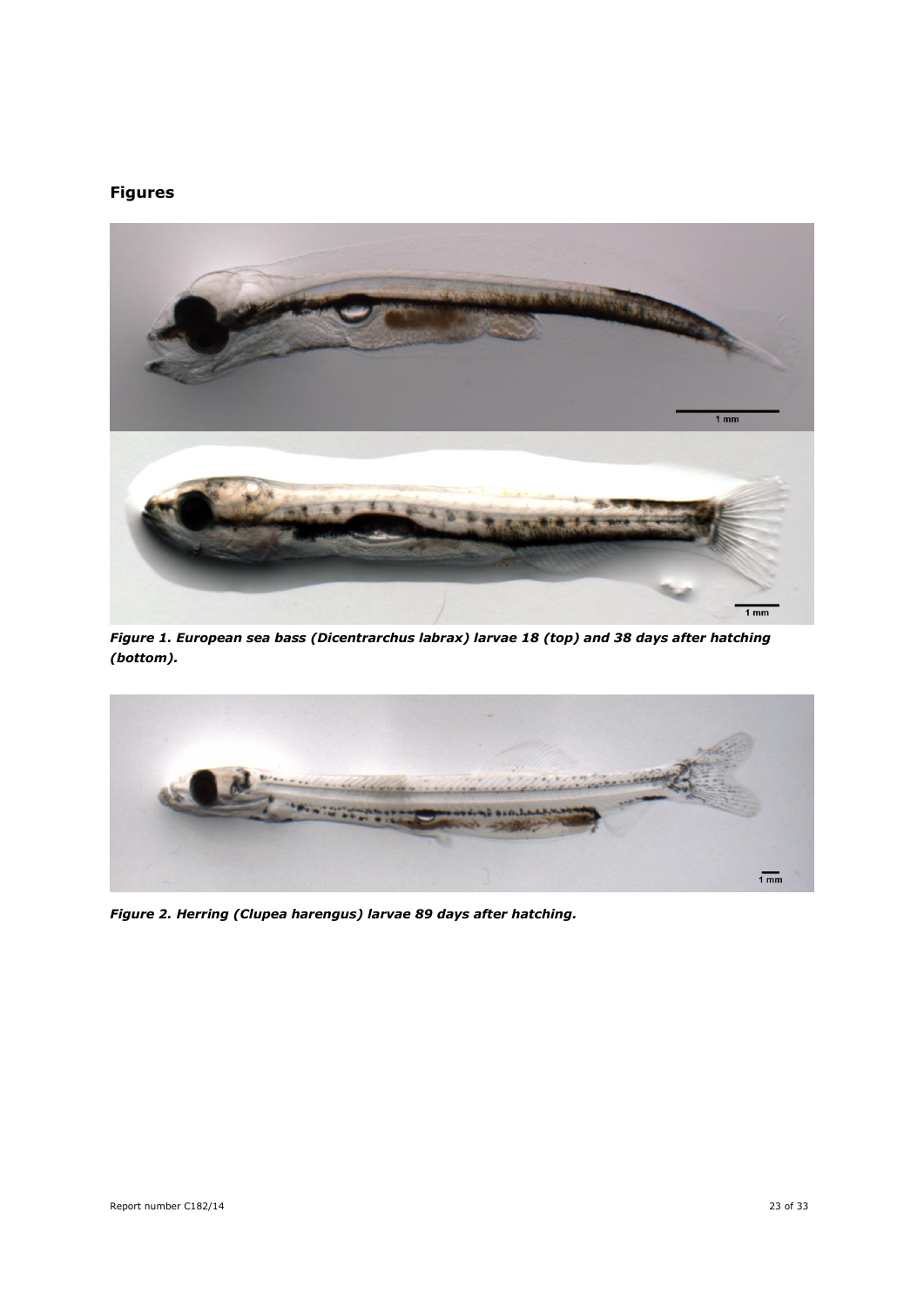## **Figures**



*Figure 1. European sea bass (Dicentrarchus labrax) larvae 18 (top) and 38 days after hatching (bottom).*



*Figure 2. Herring (Clupea harengus) larvae 89 days after hatching.*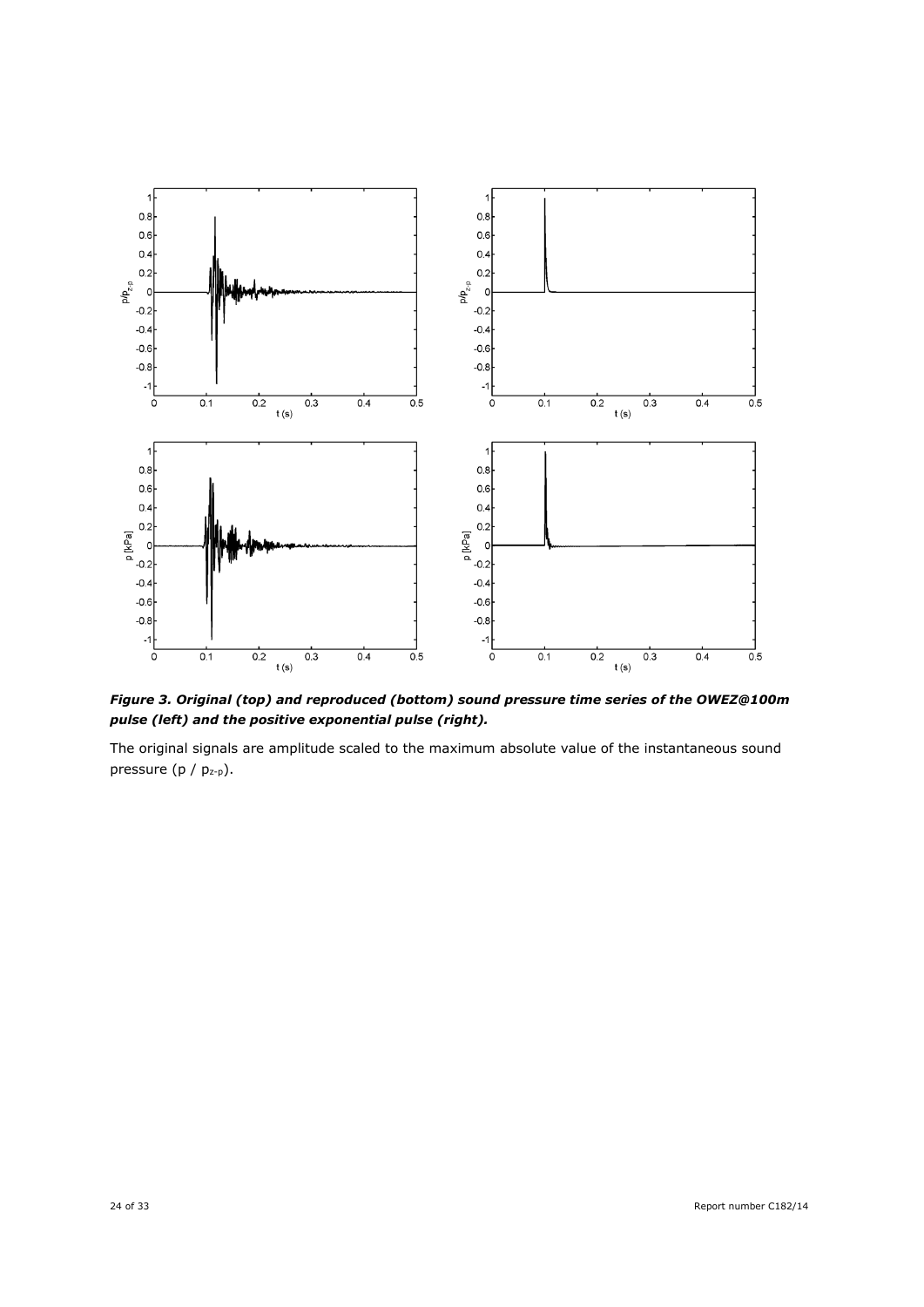

*Figure 3. Original (top) and reproduced (bottom) sound pressure time series of the OWEZ@100m pulse (left) and the positive exponential pulse (right).*

The original signals are amplitude scaled to the maximum absolute value of the instantaneous sound pressure (p / pz-p).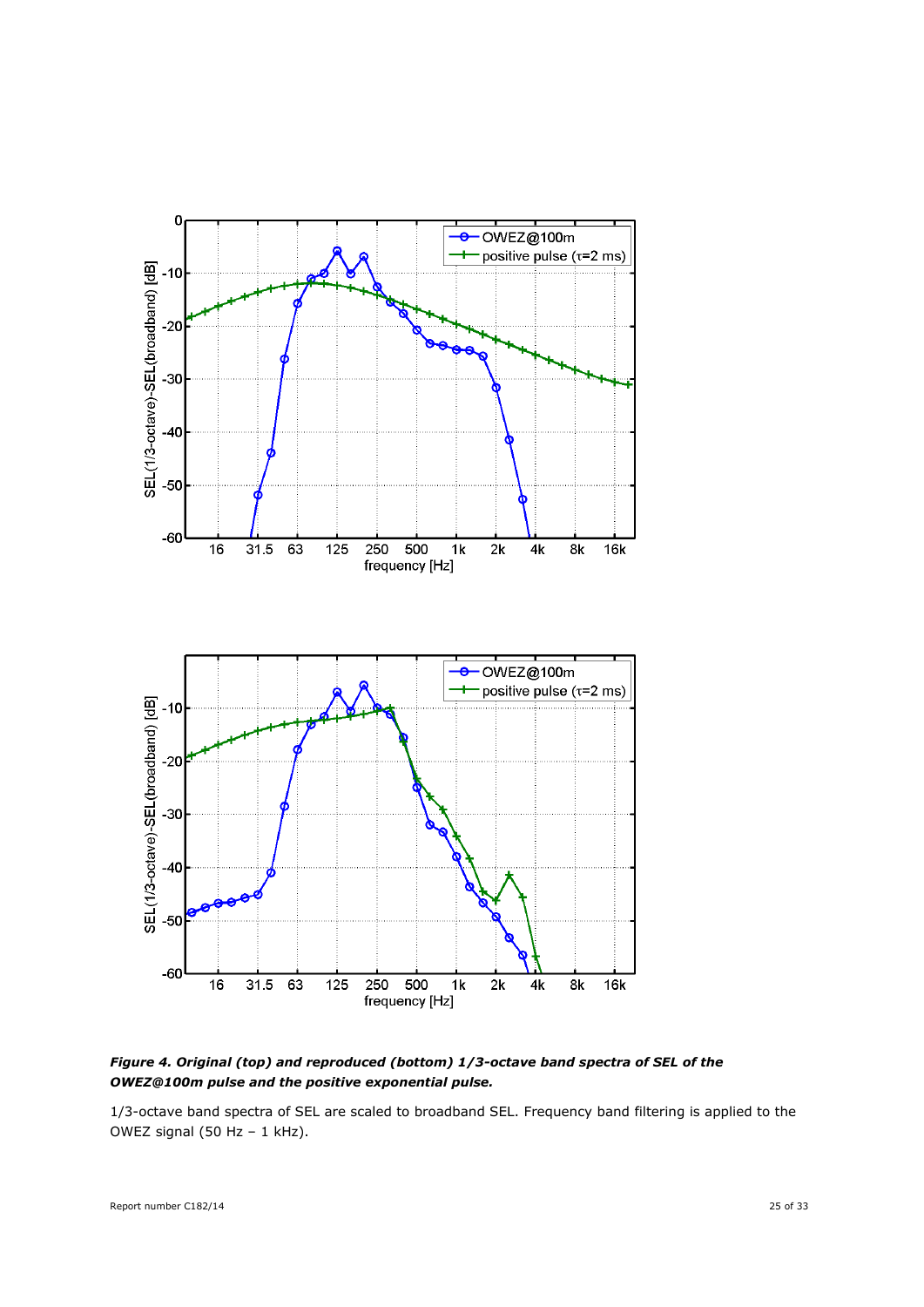

*Figure 4. Original (top) and reproduced (bottom) 1/3-octave band spectra of SEL of the OWEZ@100m pulse and the positive exponential pulse.*

1/3-octave band spectra of SEL are scaled to broadband SEL. Frequency band filtering is applied to the OWEZ signal (50 Hz - 1 kHz).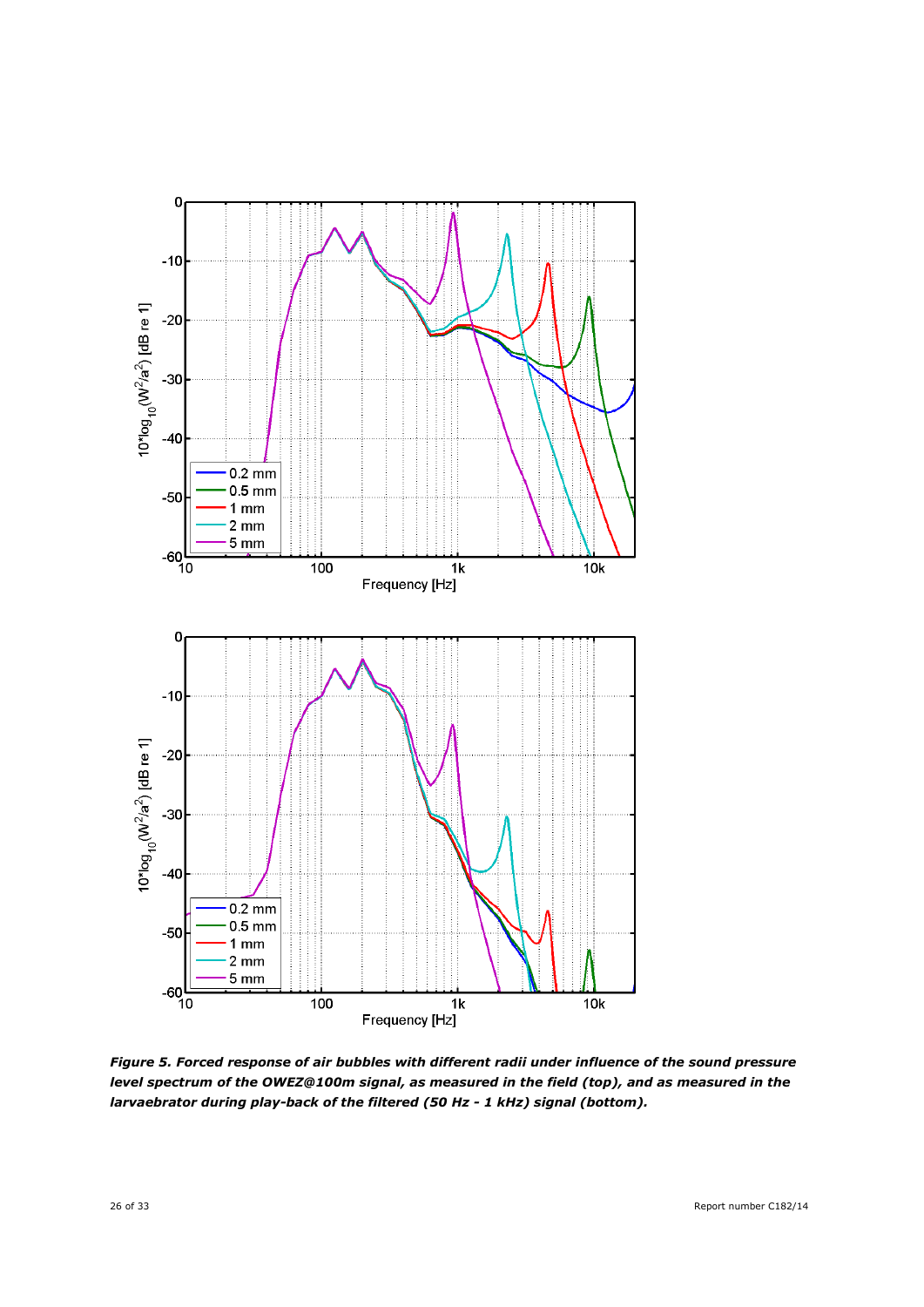

*Figure 5. Forced response of air bubbles with different radii under influence of the sound pressure level spectrum of the OWEZ@100m signal, as measured in the field (top), and as measured in the larvaebrator during play-back of the filtered (50 Hz - 1 kHz) signal (bottom).*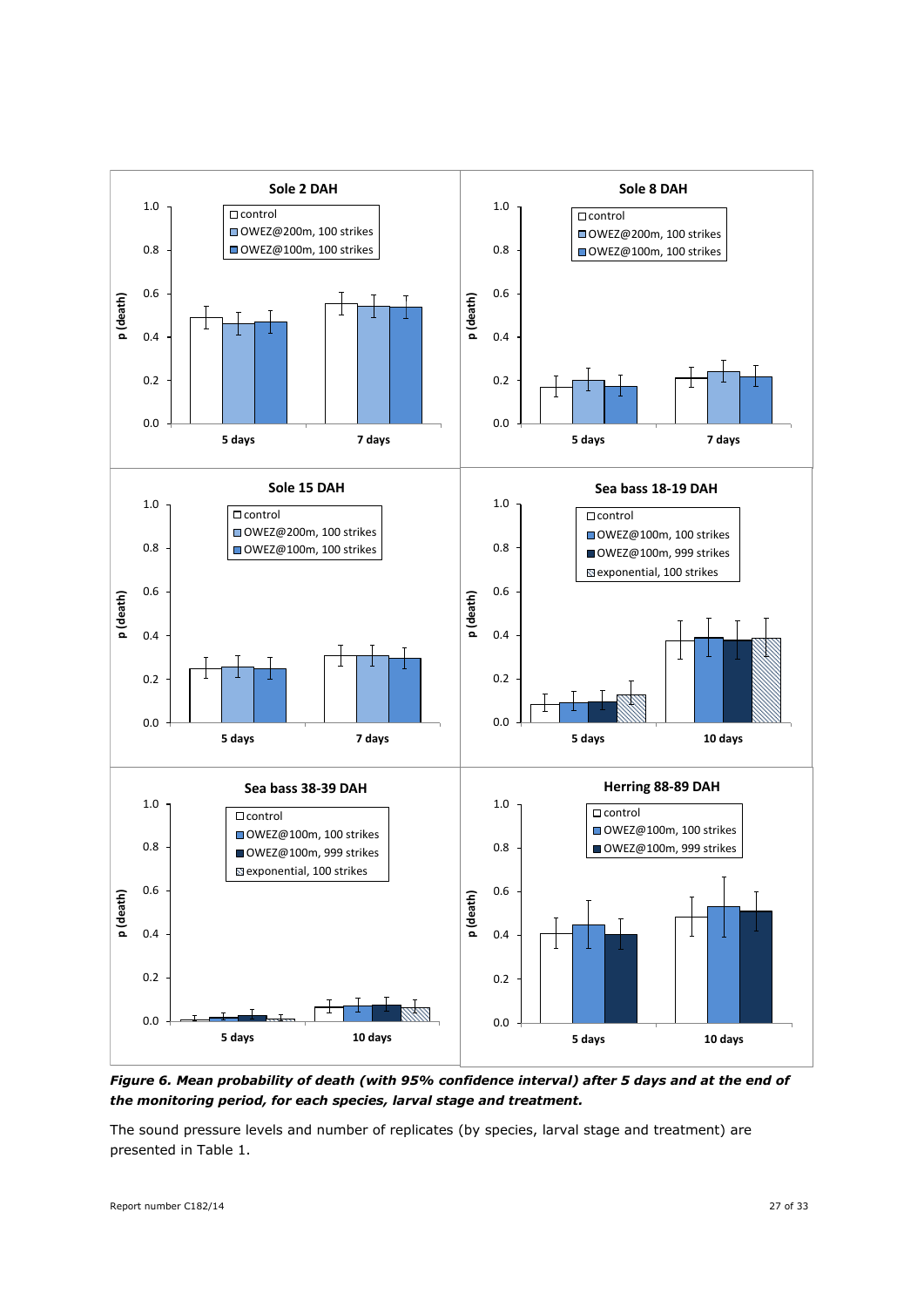

*Figure 6. Mean probability of death (with 95% confidence interval) after 5 days and at the end of the monitoring period, for each species, larval stage and treatment.*

The sound pressure levels and number of replicates (by species, larval stage and treatment) are presented in Table 1.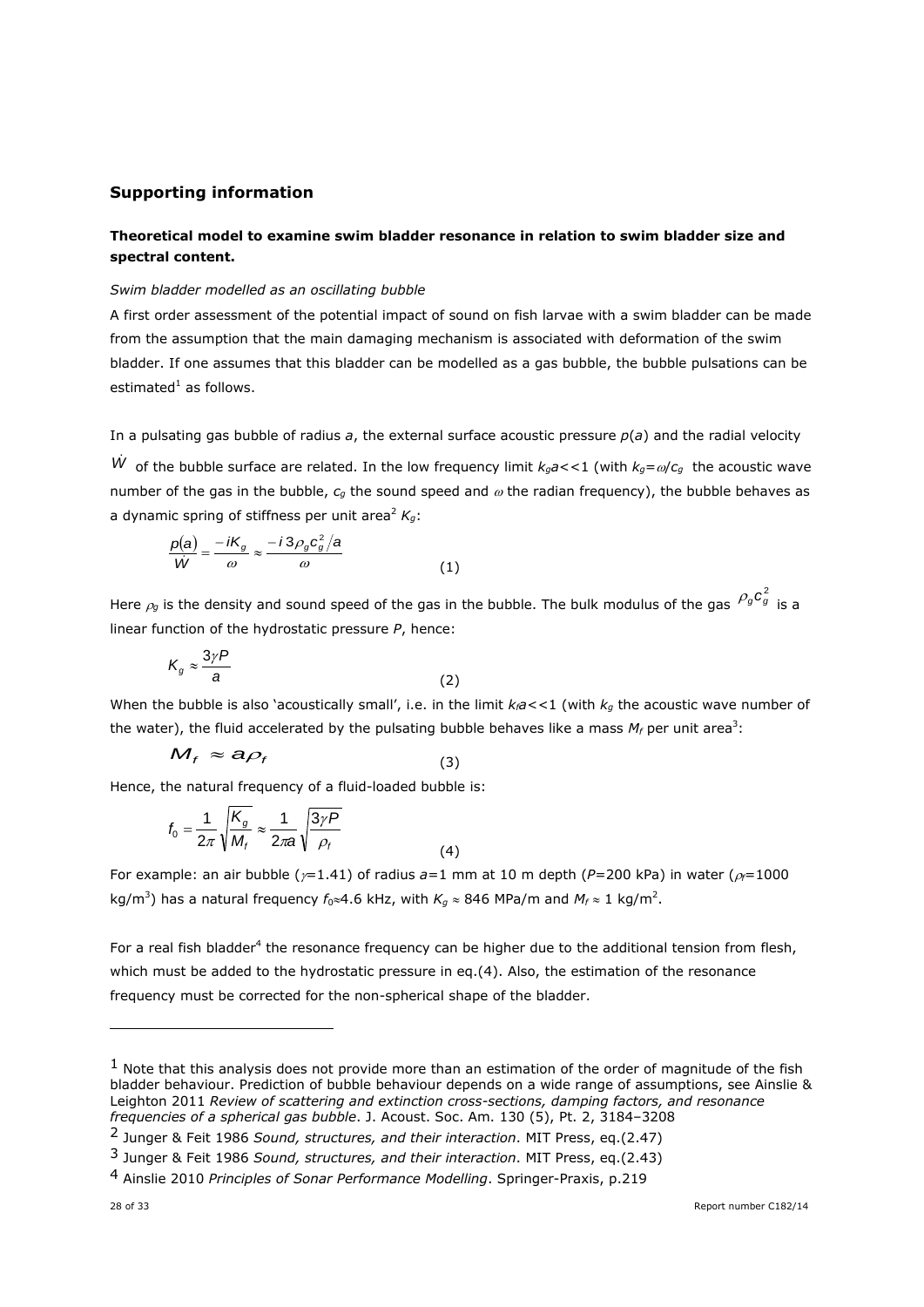## **Supporting information**

## **Theoretical model to examine swim bladder resonance in relation to swim bladder size and spectral content.**

#### *Swim bladder modelled as an oscillating bubble*

A first order assessment of the potential impact of sound on fish larvae with a swim bladder can be made from the assumption that the main damaging mechanism is associated with deformation of the swim bladder. If one assumes that this bladder can be modelled as a gas bubble, the bubble pulsations can be estimated $^1$  as follows.

In a pulsating gas bubble of radius *a*, the external surface acoustic pressure *p*(*a*) and the radial velocity

W of the bubble surface are related. In the low frequency limit  $k_g a$ <<1 (with  $k_g = \omega/c_g$  the acoustic wave number of the gas in the bubble,  $c_q$  the sound speed and  $\omega$  the radian frequency), the bubble behaves as a dynamic spring of stiffness per unit area<sup>2</sup>  $K_q$ :

$$
\frac{p(a)}{W} = \frac{-iK_g}{\omega} \approx \frac{-i3\rho_g c_g^2/a}{\omega} \tag{1}
$$

Here  $\rho_g$  is the density and sound speed of the gas in the bubble. The bulk modulus of the gas  $\,{\rho_g}c_g^2\,$  is a linear function of the hydrostatic pressure *P*, hence:

$$
K_g \approx \frac{3\gamma P}{a} \tag{2}
$$

When the bubble is also 'acoustically small', i.e. in the limit  $k_f a \lt 1$  (with  $k_q$  the acoustic wave number of the water), the fluid accelerated by the pulsating bubble behaves like a mass  $M_f$  per unit area<sup>3</sup>:

$$
M_f \approx a \rho_f \tag{3}
$$

Hence, the natural frequency of a fluid-loaded bubble is:

$$
f_0 = \frac{1}{2\pi} \sqrt{\frac{K_g}{M_f}} \approx \frac{1}{2\pi a} \sqrt{\frac{3\gamma P}{\rho_f}}
$$
(4)

For example: an air bubble ( $\gamma$ =1.41) of radius  $a=1$  mm at 10 m depth ( $P=200$  kPa) in water ( $\rho$ =1000 kg/m<sup>3</sup>) has a natural frequency  $f_0 \approx 4.6$  kHz, with  $K_g \approx 846$  MPa/m and  $M_f \approx 1$  kg/m<sup>2</sup>.

For a real fish bladder<sup>4</sup> the resonance frequency can be higher due to the additional tension from flesh, which must be added to the hydrostatic pressure in eq.(4). Also, the estimation of the resonance frequency must be corrected for the non-spherical shape of the bladder.

-

 $<sup>1</sup>$  Note that this analysis does not provide more than an estimation of the order of magnitude of the fish</sup> bladder behaviour. Prediction of bubble behaviour depends on a wide range of assumptions, see Ainslie & Leighton 2011 *Review of scattering and extinction cross-sections, damping factors, and resonance frequencies of a spherical gas bubble*. J. Acoust. Soc. Am. 130 (5), Pt. 2, 3184–3208

<sup>2</sup> Junger & Feit 1986 *Sound, structures, and their interaction*. MIT Press, eq.(2.47)

<sup>3</sup> Junger & Feit 1986 *Sound, structures, and their interaction*. MIT Press, eq.(2.43)

<sup>4</sup> Ainslie 2010 *Principles of Sonar Performance Modelling*. Springer-Praxis, p.219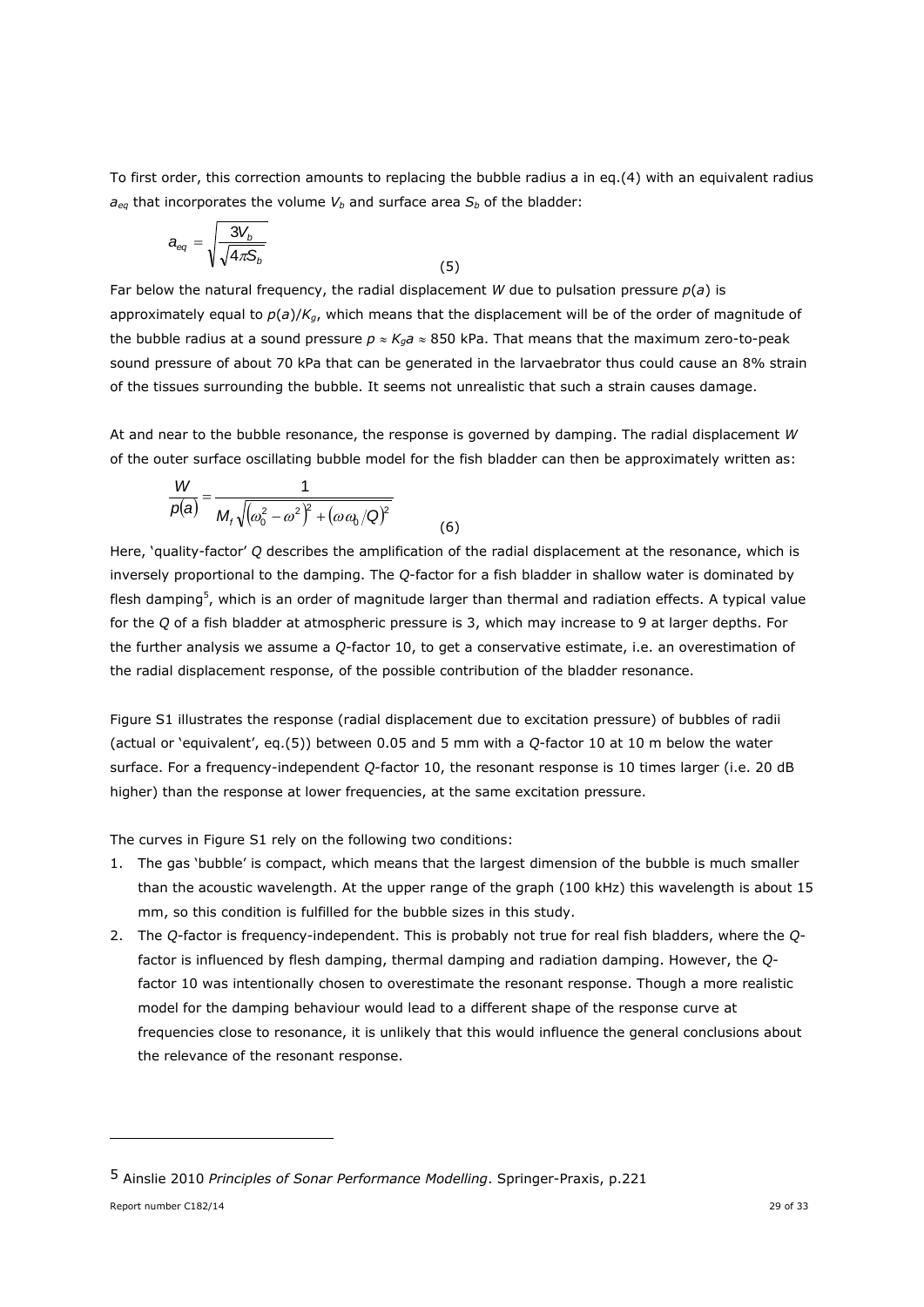To first order, this correction amounts to replacing the bubble radius a in eq.(4) with an equivalent radius  $a_{eq}$  that incorporates the volume  $V_b$  and surface area  $S_b$  of the bladder:

$$
a_{eq} = \sqrt{\frac{3V_b}{\sqrt{4\pi S_b}}} \tag{5}
$$

Far below the natural frequency, the radial displacement *W* due to pulsation pressure *p*(*a*) is approximately equal to *p*(*a*)/*Kg*, which means that the displacement will be of the order of magnitude of the bubble radius at a sound pressure  $p \approx K_q a \approx 850$  kPa. That means that the maximum zero-to-peak sound pressure of about 70 kPa that can be generated in the larvaebrator thus could cause an 8% strain of the tissues surrounding the bubble. It seems not unrealistic that such a strain causes damage.

At and near to the bubble resonance, the response is governed by damping. The radial displacement *W* of the outer surface oscillating bubble model for the fish bladder can then be approximately written as:

$$
\frac{W}{p(a)} = \frac{1}{M_f\sqrt{(\omega_0^2 - \omega^2)^2 + (\omega \omega_0/\Omega)^2}}
$$
(6)

Here, 'quality-factor' *Q* describes the amplification of the radial displacement at the resonance, which is inversely proportional to the damping. The *Q*-factor for a fish bladder in shallow water is dominated by flesh damping<sup>5</sup>, which is an order of magnitude larger than thermal and radiation effects. A typical value for the *Q* of a fish bladder at atmospheric pressure is 3, which may increase to 9 at larger depths. For the further analysis we assume a *Q*-factor 10, to get a conservative estimate, i.e. an overestimation of the radial displacement response, of the possible contribution of the bladder resonance.

Figure S1 illustrates the response (radial displacement due to excitation pressure) of bubbles of radii (actual or 'equivalent', eq.(5)) between 0.05 and 5 mm with a *Q*-factor 10 at 10 m below the water surface. For a frequency-independent *Q*-factor 10, the resonant response is 10 times larger (i.e. 20 dB higher) than the response at lower frequencies, at the same excitation pressure.

The curves in Figure S1 rely on the following two conditions:

- 1. The gas 'bubble' is compact, which means that the largest dimension of the bubble is much smaller than the acoustic wavelength. At the upper range of the graph (100 kHz) this wavelength is about 15 mm, so this condition is fulfilled for the bubble sizes in this study.
- 2. The *Q*-factor is frequency-independent. This is probably not true for real fish bladders, where the *Q*factor is influenced by flesh damping, thermal damping and radiation damping. However, the *Q*factor 10 was intentionally chosen to overestimate the resonant response. Though a more realistic model for the damping behaviour would lead to a different shape of the response curve at frequencies close to resonance, it is unlikely that this would influence the general conclusions about the relevance of the resonant response.

ł

<sup>5</sup> Ainslie 2010 *Principles of Sonar Performance Modelling*. Springer-Praxis, p.221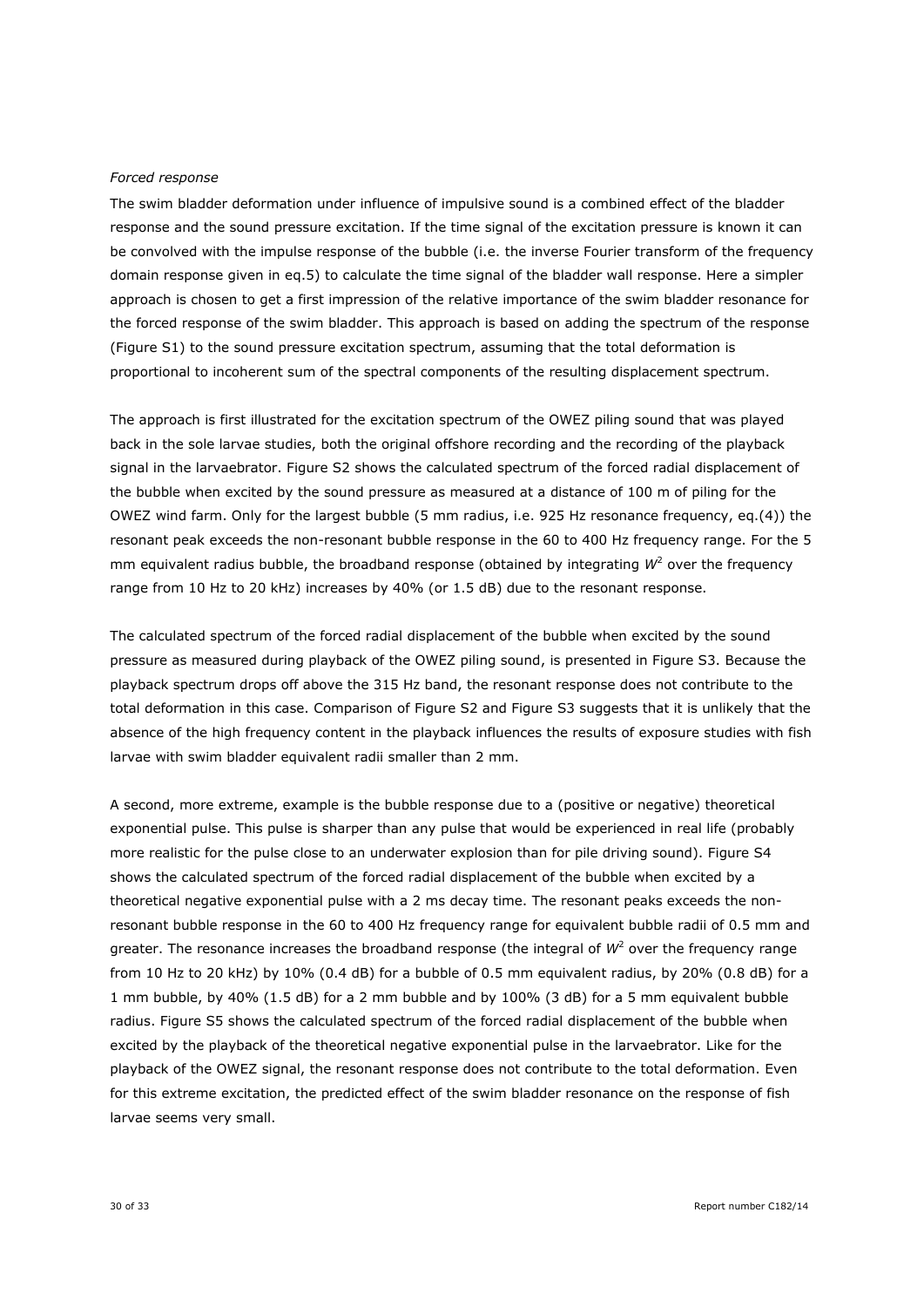#### *Forced response*

The swim bladder deformation under influence of impulsive sound is a combined effect of the bladder response and the sound pressure excitation. If the time signal of the excitation pressure is known it can be convolved with the impulse response of the bubble (i.e. the inverse Fourier transform of the frequency domain response given in eq.5) to calculate the time signal of the bladder wall response. Here a simpler approach is chosen to get a first impression of the relative importance of the swim bladder resonance for the forced response of the swim bladder. This approach is based on adding the spectrum of the response (Figure S1) to the sound pressure excitation spectrum, assuming that the total deformation is proportional to incoherent sum of the spectral components of the resulting displacement spectrum.

The approach is first illustrated for the excitation spectrum of the OWEZ piling sound that was played back in the sole larvae studies, both the original offshore recording and the recording of the playback signal in the larvaebrator. Figure S2 shows the calculated spectrum of the forced radial displacement of the bubble when excited by the sound pressure as measured at a distance of 100 m of piling for the OWEZ wind farm. Only for the largest bubble (5 mm radius, i.e. 925 Hz resonance frequency, eq.(4)) the resonant peak exceeds the non-resonant bubble response in the 60 to 400 Hz frequency range. For the 5 mm equivalent radius bubble, the broadband response (obtained by integrating  $W^2$  over the frequency range from 10 Hz to 20 kHz) increases by 40% (or 1.5 dB) due to the resonant response.

The calculated spectrum of the forced radial displacement of the bubble when excited by the sound pressure as measured during playback of the OWEZ piling sound, is presented in Figure S3. Because the playback spectrum drops off above the 315 Hz band, the resonant response does not contribute to the total deformation in this case. Comparison of Figure S2 and Figure S3 suggests that it is unlikely that the absence of the high frequency content in the playback influences the results of exposure studies with fish larvae with swim bladder equivalent radii smaller than 2 mm.

A second, more extreme, example is the bubble response due to a (positive or negative) theoretical exponential pulse. This pulse is sharper than any pulse that would be experienced in real life (probably more realistic for the pulse close to an underwater explosion than for pile driving sound). Figure S4 shows the calculated spectrum of the forced radial displacement of the bubble when excited by a theoretical negative exponential pulse with a 2 ms decay time. The resonant peaks exceeds the nonresonant bubble response in the 60 to 400 Hz frequency range for equivalent bubble radii of 0.5 mm and greater. The resonance increases the broadband response (the integral of  $W^2$  over the frequency range from 10 Hz to 20 kHz) by 10% (0.4 dB) for a bubble of 0.5 mm equivalent radius, by 20% (0.8 dB) for a 1 mm bubble, by 40% (1.5 dB) for a 2 mm bubble and by 100% (3 dB) for a 5 mm equivalent bubble radius. Figure S5 shows the calculated spectrum of the forced radial displacement of the bubble when excited by the playback of the theoretical negative exponential pulse in the larvaebrator. Like for the playback of the OWEZ signal, the resonant response does not contribute to the total deformation. Even for this extreme excitation, the predicted effect of the swim bladder resonance on the response of fish larvae seems very small.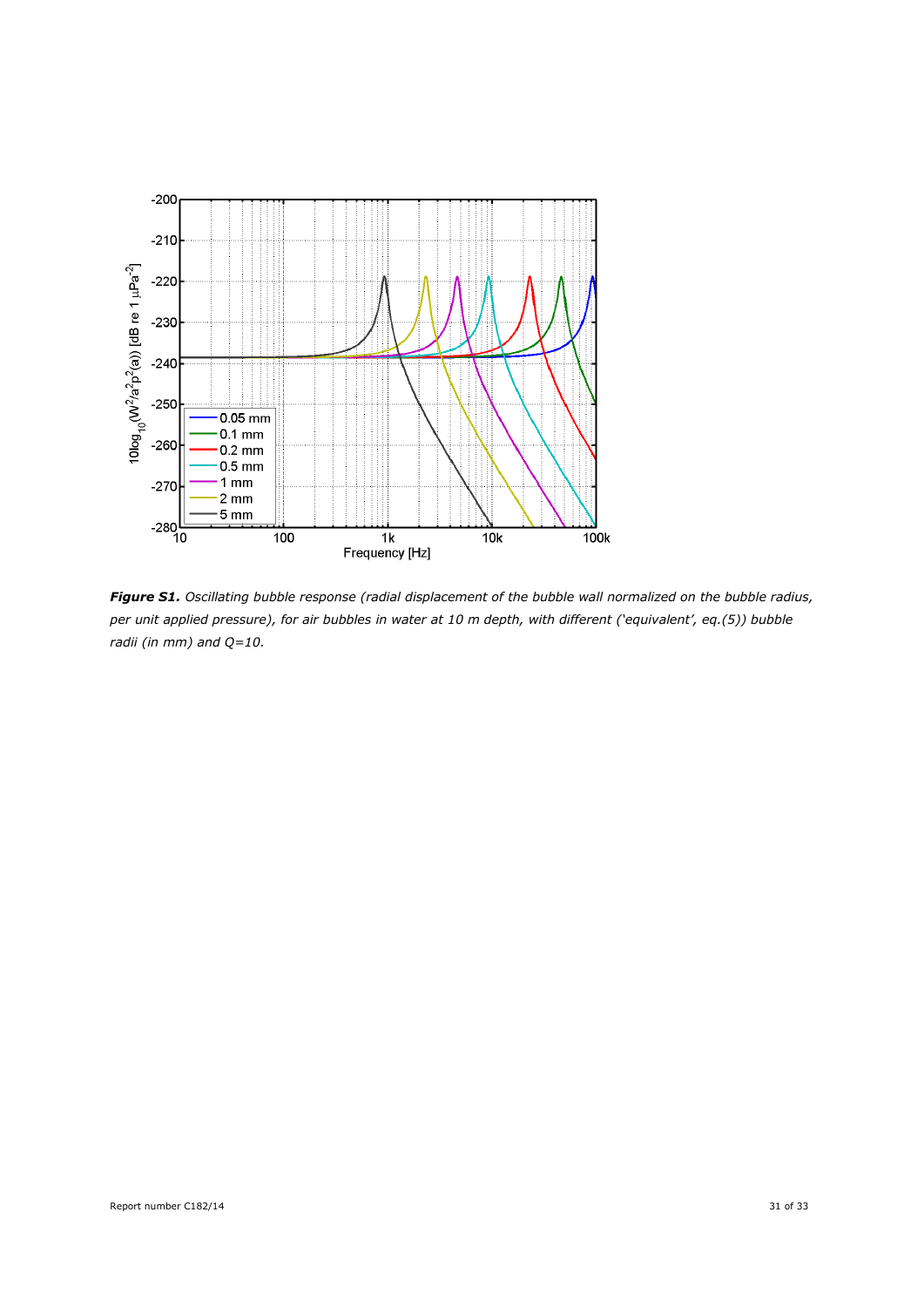

*Figure S1. Oscillating bubble response (radial displacement of the bubble wall normalized on the bubble radius, per unit applied pressure), for air bubbles in water at 10 m depth, with different ('equivalent', eq.(5)) bubble radii (in mm) and Q=10.*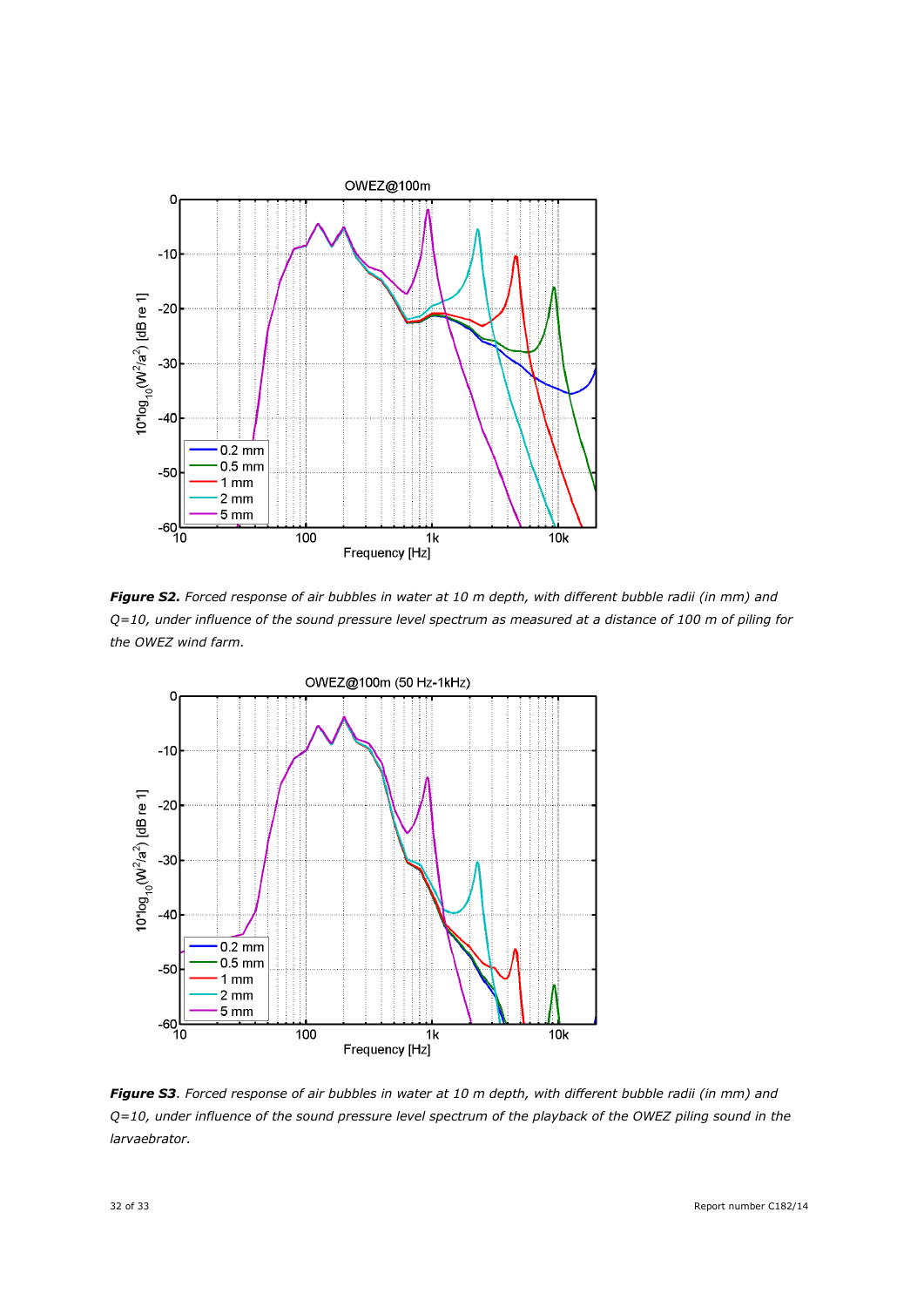

*Figure S2. Forced response of air bubbles in water at 10 m depth, with different bubble radii (in mm) and Q=10, under influence of the sound pressure level spectrum as measured at a distance of 100 m of piling for the OWEZ wind farm.*



*Figure S3. Forced response of air bubbles in water at 10 m depth, with different bubble radii (in mm) and Q=10, under influence of the sound pressure level spectrum of the playback of the OWEZ piling sound in the larvaebrator.*